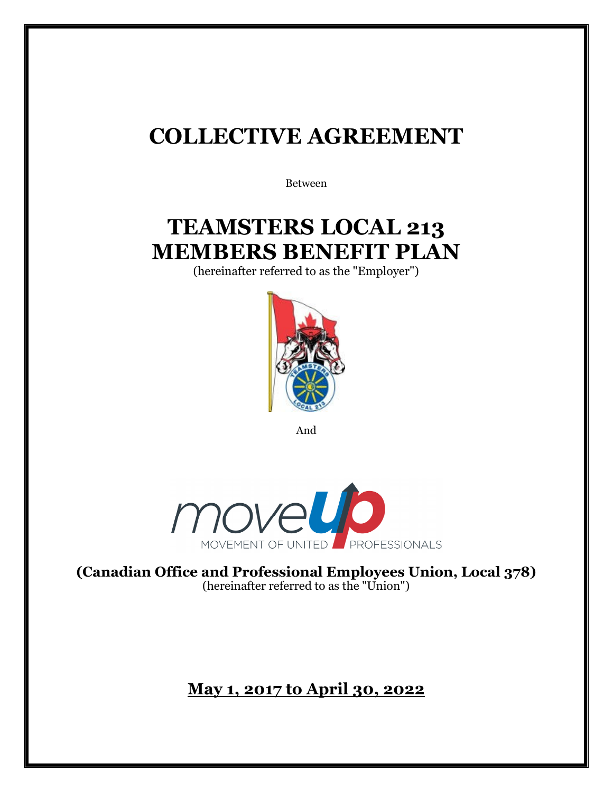# **COLLECTIVE AGREEMENT**

Between

# **TEAMSTERS LOCAL 213 MEMBERS BENEFIT PLAN**

(hereinafter referred to as the "Employer")



And



**(Canadian Office and Professional Employees Union, Local 378)**  (hereinafter referred to as the "Union")

**May 1, 2017 to April 30, 2022**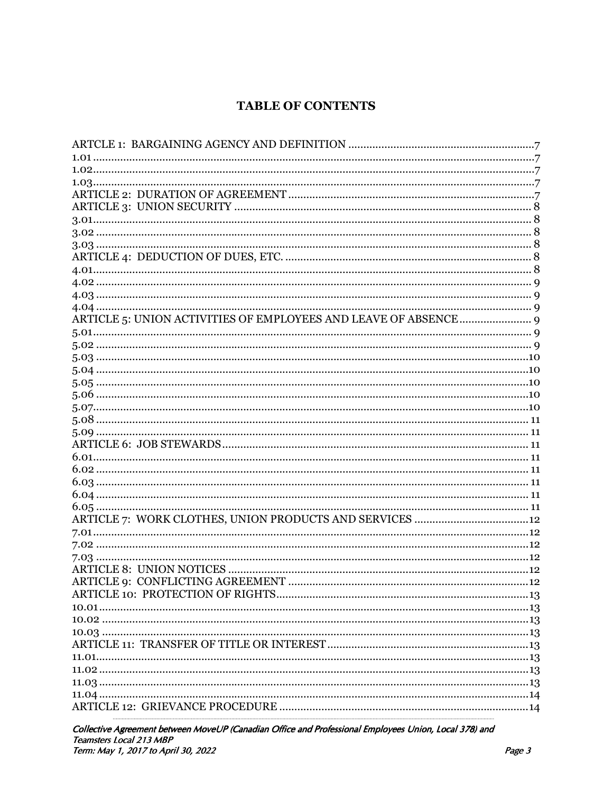# **TABLE OF CONTENTS**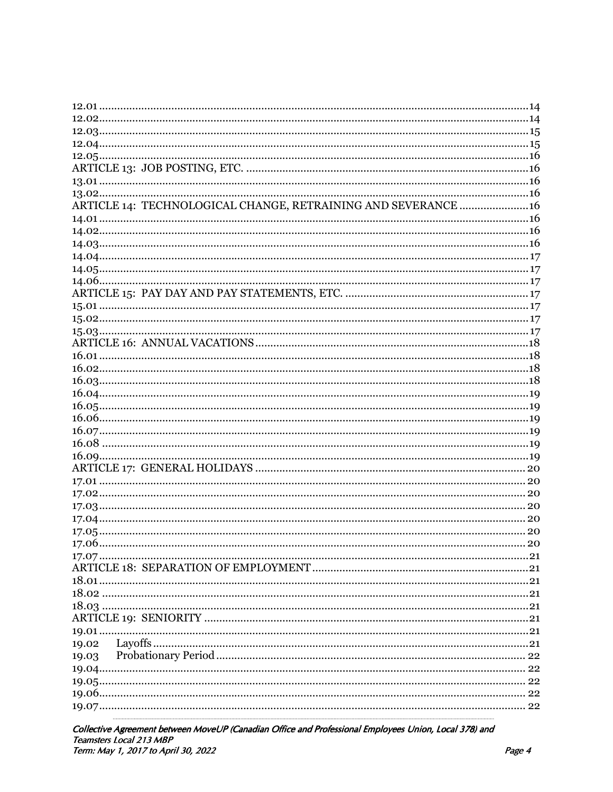| ARTICLE 14: TECHNOLOGICAL CHANGE, RETRAINING AND SEVERANCE  16 |  |
|----------------------------------------------------------------|--|
|                                                                |  |
|                                                                |  |
|                                                                |  |
|                                                                |  |
|                                                                |  |
|                                                                |  |
|                                                                |  |
|                                                                |  |
|                                                                |  |
|                                                                |  |
|                                                                |  |
|                                                                |  |
|                                                                |  |
|                                                                |  |
|                                                                |  |
|                                                                |  |
|                                                                |  |
|                                                                |  |
|                                                                |  |
|                                                                |  |
|                                                                |  |
|                                                                |  |
|                                                                |  |
|                                                                |  |
|                                                                |  |
|                                                                |  |
|                                                                |  |
|                                                                |  |
|                                                                |  |
|                                                                |  |
|                                                                |  |
|                                                                |  |
|                                                                |  |
|                                                                |  |
|                                                                |  |
| 19.02                                                          |  |
| 19.03                                                          |  |
|                                                                |  |
|                                                                |  |
|                                                                |  |
|                                                                |  |
|                                                                |  |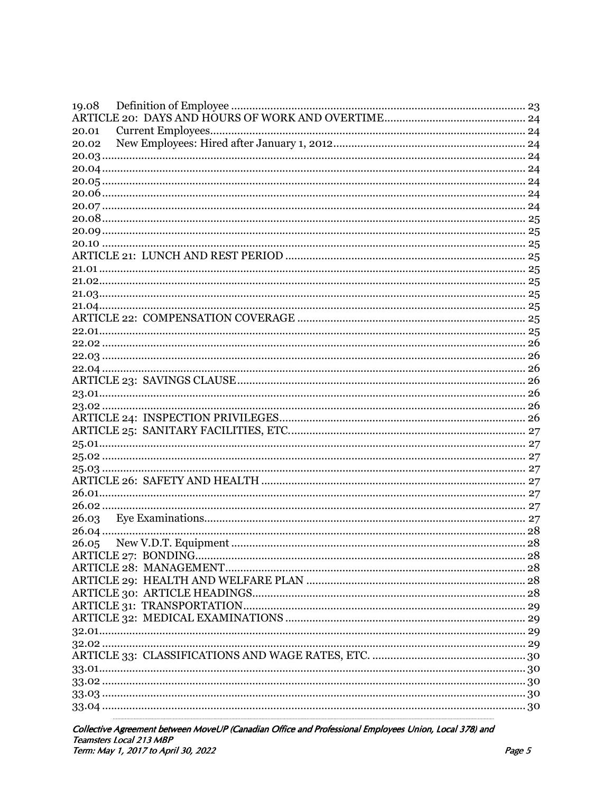| 19.08 |  |
|-------|--|
|       |  |
| 20.01 |  |
| 20.02 |  |
|       |  |
|       |  |
|       |  |
|       |  |
|       |  |
|       |  |
|       |  |
|       |  |
|       |  |
|       |  |
|       |  |
|       |  |
|       |  |
|       |  |
|       |  |
|       |  |
|       |  |
|       |  |
|       |  |
|       |  |
|       |  |
|       |  |
|       |  |
|       |  |
|       |  |
|       |  |
|       |  |
|       |  |
|       |  |
|       |  |
|       |  |
| 26.05 |  |
|       |  |
|       |  |
|       |  |
|       |  |
|       |  |
|       |  |
|       |  |
|       |  |
|       |  |
|       |  |
|       |  |
|       |  |
|       |  |
|       |  |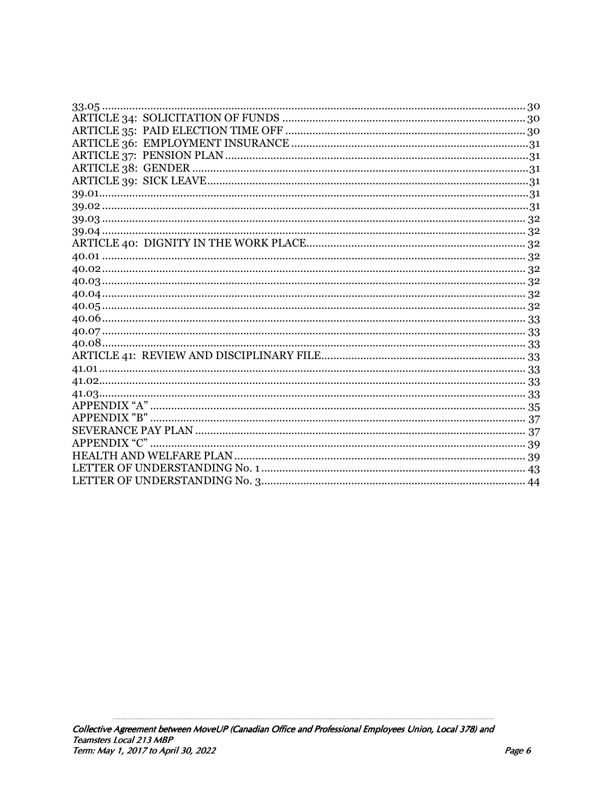| $33.05$ |
|---------|
|         |
|         |
|         |
|         |
|         |
|         |
|         |
|         |
|         |
|         |
|         |
|         |
|         |
|         |
|         |
|         |
|         |
|         |
|         |
|         |
|         |
|         |
|         |
|         |
|         |
|         |
|         |
|         |
|         |
|         |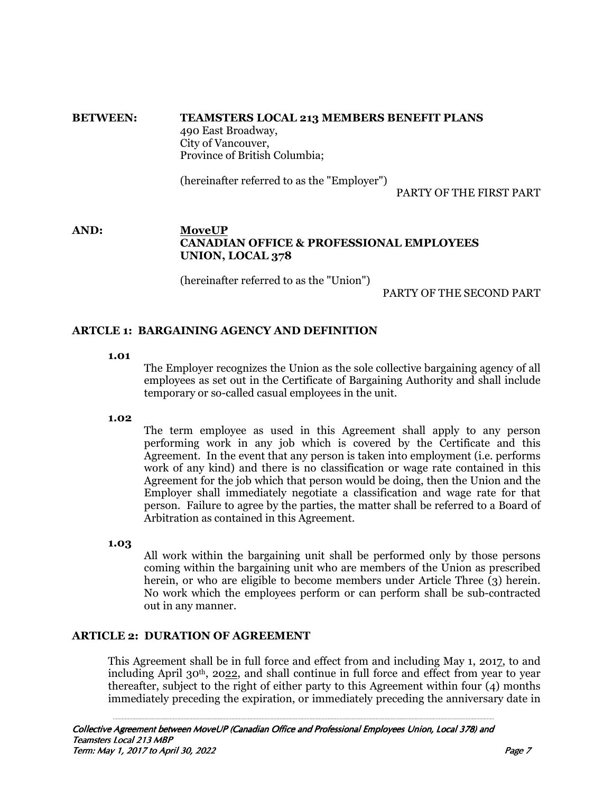#### **BETWEEN: TEAMSTERS LOCAL 213 MEMBERS BENEFIT PLANS** 490 East Broadway, City of Vancouver, Province of British Columbia;

(hereinafter referred to as the "Employer")

PARTY OF THE FIRST PART

# **AND: MoveUP CANADIAN OFFICE & PROFESSIONAL EMPLOYEES UNION, LOCAL 378**

(hereinafter referred to as the "Union")

PARTY OF THE SECOND PART

# **ARTCLE 1: BARGAINING AGENCY AND DEFINITION**

**1.01** 

 The Employer recognizes the Union as the sole collective bargaining agency of all employees as set out in the Certificate of Bargaining Authority and shall include temporary or so-called casual employees in the unit.

**1.02** 

 The term employee as used in this Agreement shall apply to any person performing work in any job which is covered by the Certificate and this Agreement. In the event that any person is taken into employment (i.e. performs work of any kind) and there is no classification or wage rate contained in this Agreement for the job which that person would be doing, then the Union and the Employer shall immediately negotiate a classification and wage rate for that person. Failure to agree by the parties, the matter shall be referred to a Board of Arbitration as contained in this Agreement.

**1.03** 

 All work within the bargaining unit shall be performed only by those persons coming within the bargaining unit who are members of the Union as prescribed herein, or who are eligible to become members under Article Three (3) herein. No work which the employees perform or can perform shall be sub-contracted out in any manner.

# **ARTICLE 2: DURATION OF AGREEMENT**

This Agreement shall be in full force and effect from and including May 1, 2017, to and including April 30<sup>th</sup>, 2022, and shall continue in full force and effect from year to year thereafter, subject to the right of either party to this Agreement within four (4) months immediately preceding the expiration, or immediately preceding the anniversary date in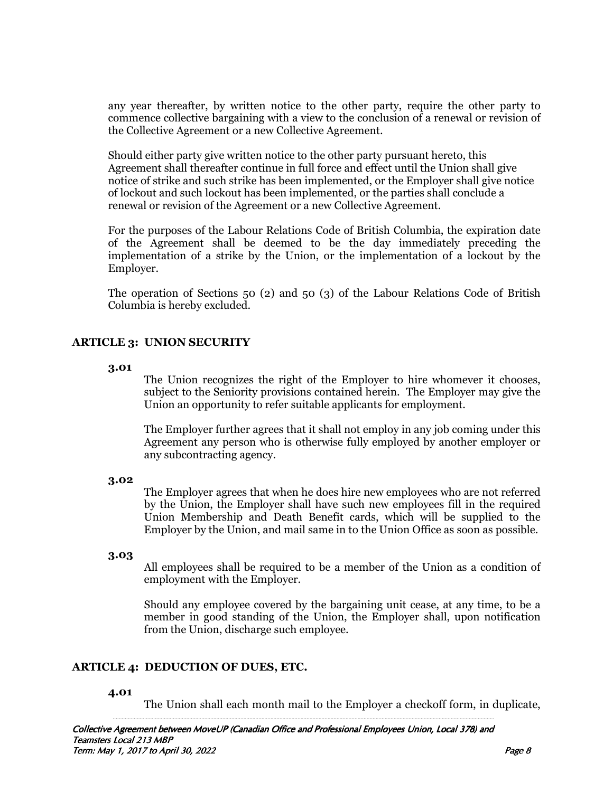any year thereafter, by written notice to the other party, require the other party to commence collective bargaining with a view to the conclusion of a renewal or revision of the Collective Agreement or a new Collective Agreement.

 Should either party give written notice to the other party pursuant hereto, this Agreement shall thereafter continue in full force and effect until the Union shall give notice of strike and such strike has been implemented, or the Employer shall give notice of lockout and such lockout has been implemented, or the parties shall conclude a renewal or revision of the Agreement or a new Collective Agreement.

For the purposes of the Labour Relations Code of British Columbia, the expiration date of the Agreement shall be deemed to be the day immediately preceding the implementation of a strike by the Union, or the implementation of a lockout by the Employer.

The operation of Sections 50 (2) and 50 (3) of the Labour Relations Code of British Columbia is hereby excluded.

# **ARTICLE 3: UNION SECURITY**

#### **3.01**

 The Union recognizes the right of the Employer to hire whomever it chooses, subject to the Seniority provisions contained herein. The Employer may give the Union an opportunity to refer suitable applicants for employment.

The Employer further agrees that it shall not employ in any job coming under this Agreement any person who is otherwise fully employed by another employer or any subcontracting agency.

#### **3.02**

 The Employer agrees that when he does hire new employees who are not referred by the Union, the Employer shall have such new employees fill in the required Union Membership and Death Benefit cards, which will be supplied to the Employer by the Union, and mail same in to the Union Office as soon as possible.

#### **3.03**

 All employees shall be required to be a member of the Union as a condition of employment with the Employer.

Should any employee covered by the bargaining unit cease, at any time, to be a member in good standing of the Union, the Employer shall, upon notification from the Union, discharge such employee.

# **ARTICLE 4: DEDUCTION OF DUES, ETC.**

#### **4.01**

The Union shall each month mail to the Employer a checkoff form, in duplicate,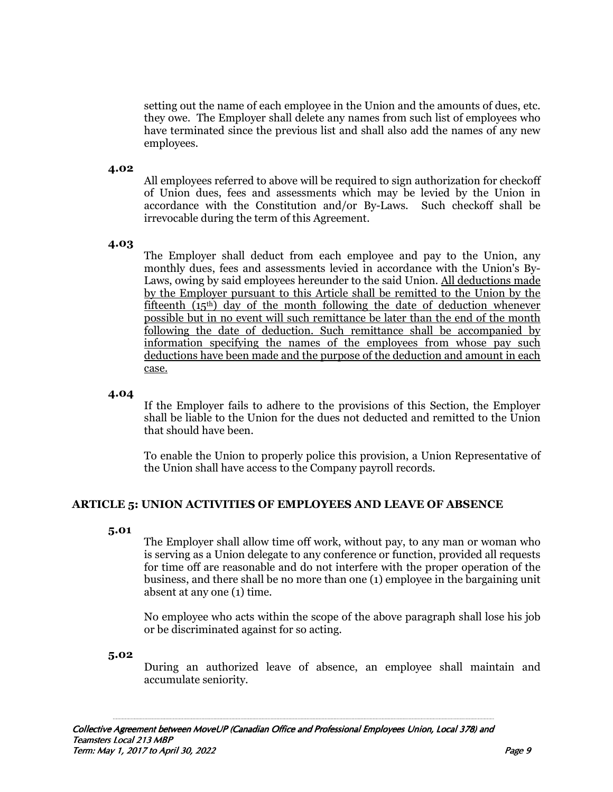setting out the name of each employee in the Union and the amounts of dues, etc. they owe. The Employer shall delete any names from such list of employees who have terminated since the previous list and shall also add the names of any new employees.

#### **4.02**

All employees referred to above will be required to sign authorization for checkoff of Union dues, fees and assessments which may be levied by the Union in accordance with the Constitution and/or By-Laws. Such checkoff shall be irrevocable during the term of this Agreement.

## **4.03**

 The Employer shall deduct from each employee and pay to the Union, any monthly dues, fees and assessments levied in accordance with the Union's By-Laws, owing by said employees hereunder to the said Union. All deductions made by the Employer pursuant to this Article shall be remitted to the Union by the fifteenth  $(i5<sup>th</sup>)$  day of the month following the date of deduction whenever possible but in no event will such remittance be later than the end of the month following the date of deduction. Such remittance shall be accompanied by information specifying the names of the employees from whose pay such deductions have been made and the purpose of the deduction and amount in each case.

#### **4.04**

 If the Employer fails to adhere to the provisions of this Section, the Employer shall be liable to the Union for the dues not deducted and remitted to the Union that should have been.

To enable the Union to properly police this provision, a Union Representative of the Union shall have access to the Company payroll records.

# **ARTICLE 5: UNION ACTIVITIES OF EMPLOYEES AND LEAVE OF ABSENCE**

#### **5.01**

 The Employer shall allow time off work, without pay, to any man or woman who is serving as a Union delegate to any conference or function, provided all requests for time off are reasonable and do not interfere with the proper operation of the business, and there shall be no more than one (1) employee in the bargaining unit absent at any one (1) time.

No employee who acts within the scope of the above paragraph shall lose his job or be discriminated against for so acting.

#### **5.02**

 During an authorized leave of absence, an employee shall maintain and accumulate seniority.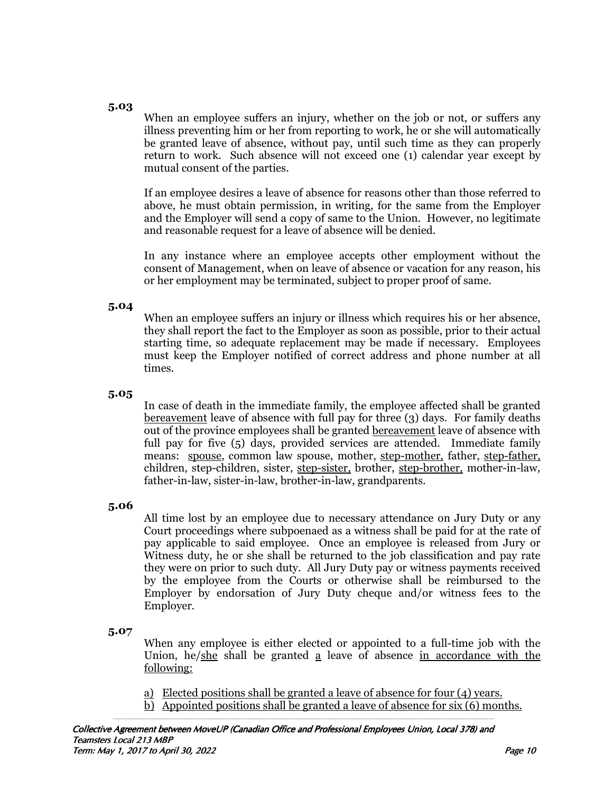#### **5.03**

 When an employee suffers an injury, whether on the job or not, or suffers any illness preventing him or her from reporting to work, he or she will automatically be granted leave of absence, without pay, until such time as they can properly return to work. Such absence will not exceed one (1) calendar year except by mutual consent of the parties.

If an employee desires a leave of absence for reasons other than those referred to above, he must obtain permission, in writing, for the same from the Employer and the Employer will send a copy of same to the Union. However, no legitimate and reasonable request for a leave of absence will be denied.

In any instance where an employee accepts other employment without the consent of Management, when on leave of absence or vacation for any reason, his or her employment may be terminated, subject to proper proof of same.

# **5.04**

 When an employee suffers an injury or illness which requires his or her absence, they shall report the fact to the Employer as soon as possible, prior to their actual starting time, so adequate replacement may be made if necessary. Employees must keep the Employer notified of correct address and phone number at all times.

## **5.05**

 In case of death in the immediate family, the employee affected shall be granted bereavement leave of absence with full pay for three (3) days. For family deaths out of the province employees shall be granted bereavement leave of absence with full pay for five (5) days, provided services are attended. Immediate family means: spouse, common law spouse, mother, step-mother, father, step-father, children, step-children, sister, step-sister, brother, step-brother, mother-in-law, father-in-law, sister-in-law, brother-in-law, grandparents.

# **5.06**

 All time lost by an employee due to necessary attendance on Jury Duty or any Court proceedings where subpoenaed as a witness shall be paid for at the rate of pay applicable to said employee. Once an employee is released from Jury or Witness duty, he or she shall be returned to the job classification and pay rate they were on prior to such duty. All Jury Duty pay or witness payments received by the employee from the Courts or otherwise shall be reimbursed to the Employer by endorsation of Jury Duty cheque and/or witness fees to the Employer.

#### **5.07**

 When any employee is either elected or appointed to a full-time job with the Union, he/she shall be granted a leave of absence in accordance with the following:

- a) Elected positions shall be granted a leave of absence for four (4) years.
- b) Appointed positions shall be granted a leave of absence for six (6) months.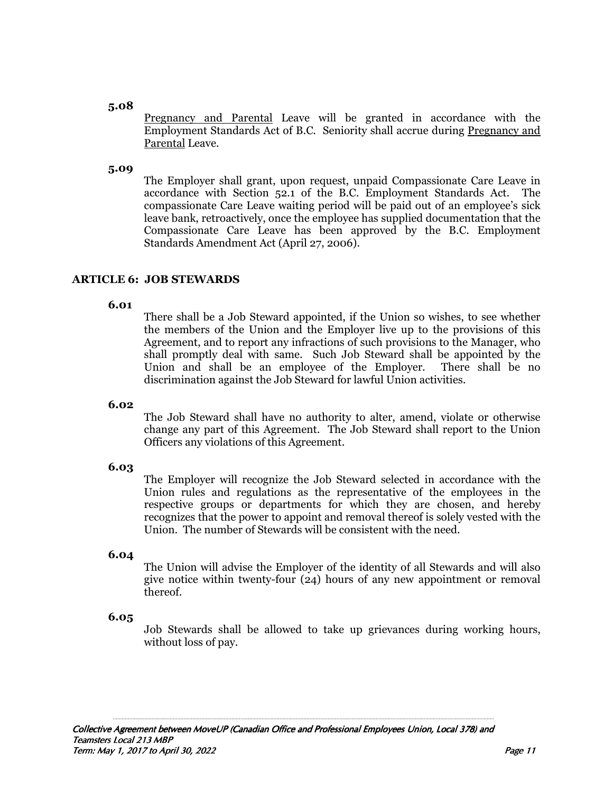#### **5.08**

 Pregnancy and Parental Leave will be granted in accordance with the Employment Standards Act of B.C. Seniority shall accrue during Pregnancy and Parental Leave.

#### **5.09**

 The Employer shall grant, upon request, unpaid Compassionate Care Leave in accordance with Section 52.1 of the B.C. Employment Standards Act. The compassionate Care Leave waiting period will be paid out of an employee's sick leave bank, retroactively, once the employee has supplied documentation that the Compassionate Care Leave has been approved by the B.C. Employment Standards Amendment Act (April 27, 2006).

## **ARTICLE 6: JOB STEWARDS**

#### **6.01**

 There shall be a Job Steward appointed, if the Union so wishes, to see whether the members of the Union and the Employer live up to the provisions of this Agreement, and to report any infractions of such provisions to the Manager, who shall promptly deal with same. Such Job Steward shall be appointed by the Union and shall be an employee of the Employer. There shall be no discrimination against the Job Steward for lawful Union activities.

#### **6.02**

 The Job Steward shall have no authority to alter, amend, violate or otherwise change any part of this Agreement. The Job Steward shall report to the Union Officers any violations of this Agreement.

#### **6.03**

 The Employer will recognize the Job Steward selected in accordance with the Union rules and regulations as the representative of the employees in the respective groups or departments for which they are chosen, and hereby recognizes that the power to appoint and removal thereof is solely vested with the Union. The number of Stewards will be consistent with the need.

#### **6.04**

 The Union will advise the Employer of the identity of all Stewards and will also give notice within twenty-four (24) hours of any new appointment or removal thereof.

#### **6.05**

 Job Stewards shall be allowed to take up grievances during working hours, without loss of pay.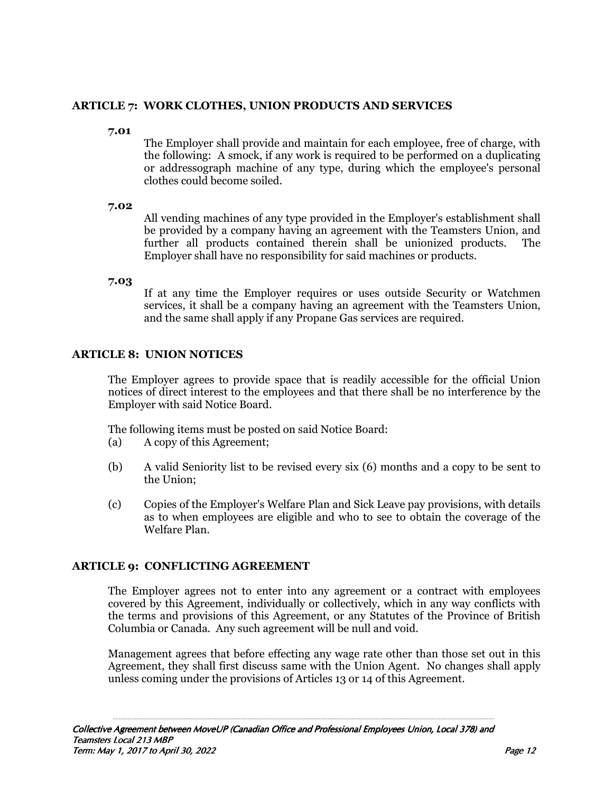# **ARTICLE 7: WORK CLOTHES, UNION PRODUCTS AND SERVICES**

**7.01** 

 The Employer shall provide and maintain for each employee, free of charge, with the following: A smock, if any work is required to be performed on a duplicating or addressograph machine of any type, during which the employee's personal clothes could become soiled.

**7.02** 

 All vending machines of any type provided in the Employer's establishment shall be provided by a company having an agreement with the Teamsters Union, and further all products contained therein shall be unionized products. The Employer shall have no responsibility for said machines or products.

**7.03** 

 If at any time the Employer requires or uses outside Security or Watchmen services, it shall be a company having an agreement with the Teamsters Union, and the same shall apply if any Propane Gas services are required.

# **ARTICLE 8: UNION NOTICES**

The Employer agrees to provide space that is readily accessible for the official Union notices of direct interest to the employees and that there shall be no interference by the Employer with said Notice Board.

The following items must be posted on said Notice Board:

- (a) A copy of this Agreement;
- (b) A valid Seniority list to be revised every six (6) months and a copy to be sent to the Union;
- (c) Copies of the Employer's Welfare Plan and Sick Leave pay provisions, with details as to when employees are eligible and who to see to obtain the coverage of the Welfare Plan.

# **ARTICLE 9: CONFLICTING AGREEMENT**

The Employer agrees not to enter into any agreement or a contract with employees covered by this Agreement, individually or collectively, which in any way conflicts with the terms and provisions of this Agreement, or any Statutes of the Province of British Columbia or Canada. Any such agreement will be null and void.

Management agrees that before effecting any wage rate other than those set out in this Agreement, they shall first discuss same with the Union Agent. No changes shall apply unless coming under the provisions of Articles 13 or 14 of this Agreement.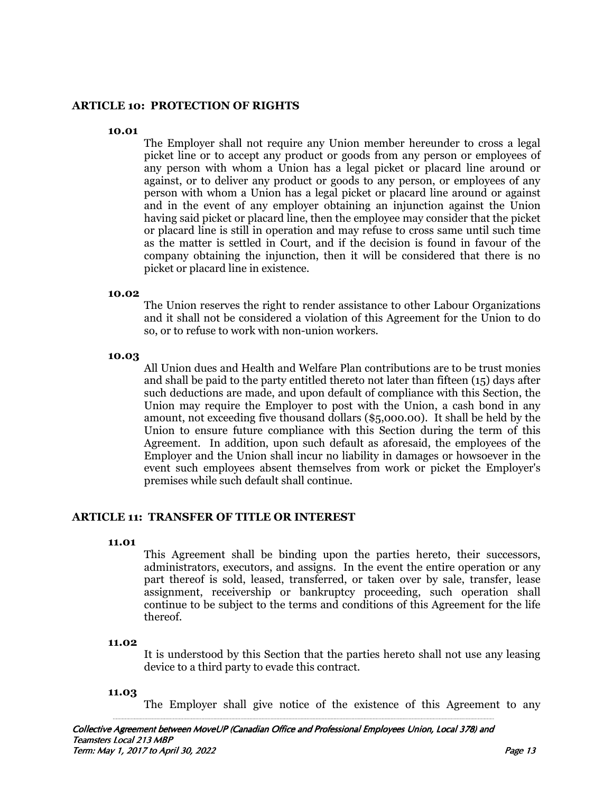#### **ARTICLE 10: PROTECTION OF RIGHTS**

#### **10.01**

 The Employer shall not require any Union member hereunder to cross a legal picket line or to accept any product or goods from any person or employees of any person with whom a Union has a legal picket or placard line around or against, or to deliver any product or goods to any person, or employees of any person with whom a Union has a legal picket or placard line around or against and in the event of any employer obtaining an injunction against the Union having said picket or placard line, then the employee may consider that the picket or placard line is still in operation and may refuse to cross same until such time as the matter is settled in Court, and if the decision is found in favour of the company obtaining the injunction, then it will be considered that there is no picket or placard line in existence.

#### **10.02**

 The Union reserves the right to render assistance to other Labour Organizations and it shall not be considered a violation of this Agreement for the Union to do so, or to refuse to work with non-union workers.

#### **10.03**

 All Union dues and Health and Welfare Plan contributions are to be trust monies and shall be paid to the party entitled thereto not later than fifteen (15) days after such deductions are made, and upon default of compliance with this Section, the Union may require the Employer to post with the Union, a cash bond in any amount, not exceeding five thousand dollars (\$5,000.00). It shall be held by the Union to ensure future compliance with this Section during the term of this Agreement. In addition, upon such default as aforesaid, the employees of the Employer and the Union shall incur no liability in damages or howsoever in the event such employees absent themselves from work or picket the Employer's premises while such default shall continue.

# **ARTICLE 11: TRANSFER OF TITLE OR INTEREST**

#### **11.01**

 This Agreement shall be binding upon the parties hereto, their successors, administrators, executors, and assigns. In the event the entire operation or any part thereof is sold, leased, transferred, or taken over by sale, transfer, lease assignment, receivership or bankruptcy proceeding, such operation shall continue to be subject to the terms and conditions of this Agreement for the life thereof.

#### **11.02**

 It is understood by this Section that the parties hereto shall not use any leasing device to a third party to evade this contract.

#### **11.03**

The Employer shall give notice of the existence of this Agreement to any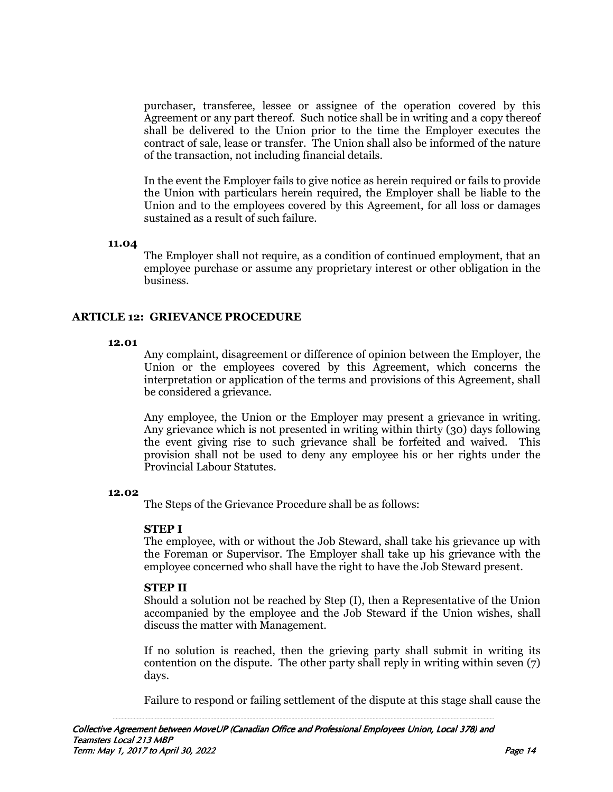purchaser, transferee, lessee or assignee of the operation covered by this Agreement or any part thereof. Such notice shall be in writing and a copy thereof shall be delivered to the Union prior to the time the Employer executes the contract of sale, lease or transfer. The Union shall also be informed of the nature of the transaction, not including financial details.

In the event the Employer fails to give notice as herein required or fails to provide the Union with particulars herein required, the Employer shall be liable to the Union and to the employees covered by this Agreement, for all loss or damages sustained as a result of such failure.

#### **11.04**

 The Employer shall not require, as a condition of continued employment, that an employee purchase or assume any proprietary interest or other obligation in the business.

## **ARTICLE 12: GRIEVANCE PROCEDURE**

#### **12.01**

 Any complaint, disagreement or difference of opinion between the Employer, the Union or the employees covered by this Agreement, which concerns the interpretation or application of the terms and provisions of this Agreement, shall be considered a grievance.

Any employee, the Union or the Employer may present a grievance in writing. Any grievance which is not presented in writing within thirty (30) days following the event giving rise to such grievance shall be forfeited and waived. This provision shall not be used to deny any employee his or her rights under the Provincial Labour Statutes.

#### **12.02**

The Steps of the Grievance Procedure shall be as follows:

#### **STEP I**

The employee, with or without the Job Steward, shall take his grievance up with the Foreman or Supervisor. The Employer shall take up his grievance with the employee concerned who shall have the right to have the Job Steward present.

#### **STEP II**

Should a solution not be reached by Step (I), then a Representative of the Union accompanied by the employee and the Job Steward if the Union wishes, shall discuss the matter with Management.

If no solution is reached, then the grieving party shall submit in writing its contention on the dispute. The other party shall reply in writing within seven (7) days.

Failure to respond or failing settlement of the dispute at this stage shall cause the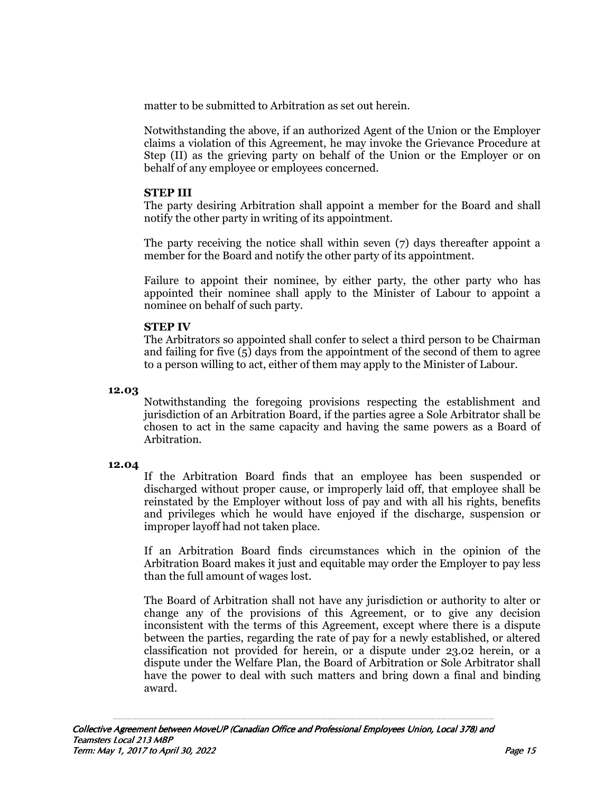matter to be submitted to Arbitration as set out herein.

Notwithstanding the above, if an authorized Agent of the Union or the Employer claims a violation of this Agreement, he may invoke the Grievance Procedure at Step (II) as the grieving party on behalf of the Union or the Employer or on behalf of any employee or employees concerned.

### **STEP III**

The party desiring Arbitration shall appoint a member for the Board and shall notify the other party in writing of its appointment.

The party receiving the notice shall within seven (7) days thereafter appoint a member for the Board and notify the other party of its appointment.

Failure to appoint their nominee, by either party, the other party who has appointed their nominee shall apply to the Minister of Labour to appoint a nominee on behalf of such party.

## **STEP IV**

 The Arbitrators so appointed shall confer to select a third person to be Chairman and failing for five  $(5)$  days from the appointment of the second of them to agree to a person willing to act, either of them may apply to the Minister of Labour.

## **12.03**

 Notwithstanding the foregoing provisions respecting the establishment and jurisdiction of an Arbitration Board, if the parties agree a Sole Arbitrator shall be chosen to act in the same capacity and having the same powers as a Board of Arbitration.

#### **12.04**

 If the Arbitration Board finds that an employee has been suspended or discharged without proper cause, or improperly laid off, that employee shall be reinstated by the Employer without loss of pay and with all his rights, benefits and privileges which he would have enjoyed if the discharge, suspension or improper layoff had not taken place.

 If an Arbitration Board finds circumstances which in the opinion of the Arbitration Board makes it just and equitable may order the Employer to pay less than the full amount of wages lost.

The Board of Arbitration shall not have any jurisdiction or authority to alter or change any of the provisions of this Agreement, or to give any decision inconsistent with the terms of this Agreement, except where there is a dispute between the parties, regarding the rate of pay for a newly established, or altered classification not provided for herein, or a dispute under 23.02 herein, or a dispute under the Welfare Plan, the Board of Arbitration or Sole Arbitrator shall have the power to deal with such matters and bring down a final and binding award.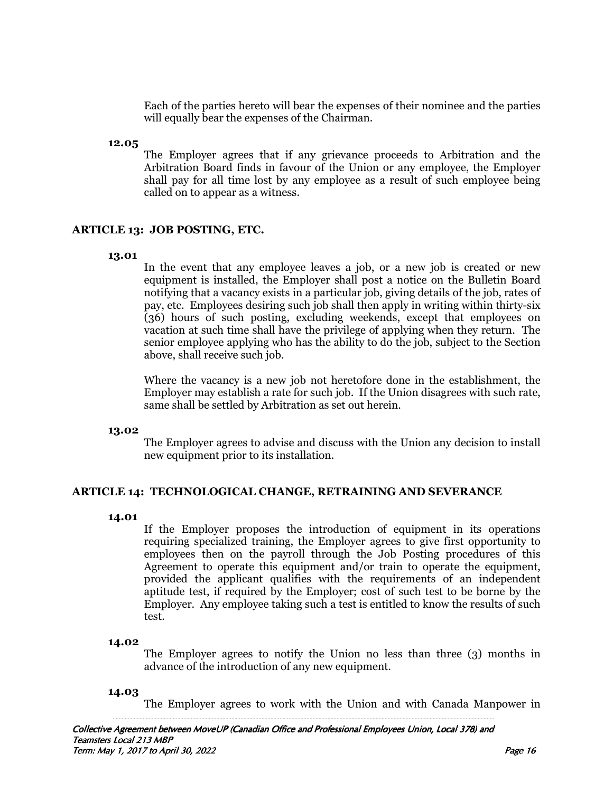Each of the parties hereto will bear the expenses of their nominee and the parties will equally bear the expenses of the Chairman.

#### **12.05**

 The Employer agrees that if any grievance proceeds to Arbitration and the Arbitration Board finds in favour of the Union or any employee, the Employer shall pay for all time lost by any employee as a result of such employee being called on to appear as a witness.

#### **ARTICLE 13: JOB POSTING, ETC.**

#### **13.01**

 In the event that any employee leaves a job, or a new job is created or new equipment is installed, the Employer shall post a notice on the Bulletin Board notifying that a vacancy exists in a particular job, giving details of the job, rates of pay, etc. Employees desiring such job shall then apply in writing within thirty-six (36) hours of such posting, excluding weekends, except that employees on vacation at such time shall have the privilege of applying when they return. The senior employee applying who has the ability to do the job, subject to the Section above, shall receive such job.

Where the vacancy is a new job not heretofore done in the establishment, the Employer may establish a rate for such job. If the Union disagrees with such rate, same shall be settled by Arbitration as set out herein.

#### **13.02**

 The Employer agrees to advise and discuss with the Union any decision to install new equipment prior to its installation.

#### **ARTICLE 14: TECHNOLOGICAL CHANGE, RETRAINING AND SEVERANCE**

#### **14.01**

If the Employer proposes the introduction of equipment in its operations requiring specialized training, the Employer agrees to give first opportunity to employees then on the payroll through the Job Posting procedures of this Agreement to operate this equipment and/or train to operate the equipment, provided the applicant qualifies with the requirements of an independent aptitude test, if required by the Employer; cost of such test to be borne by the Employer. Any employee taking such a test is entitled to know the results of such test.

#### **14.02**

 The Employer agrees to notify the Union no less than three (3) months in advance of the introduction of any new equipment.

#### **14.03**

The Employer agrees to work with the Union and with Canada Manpower in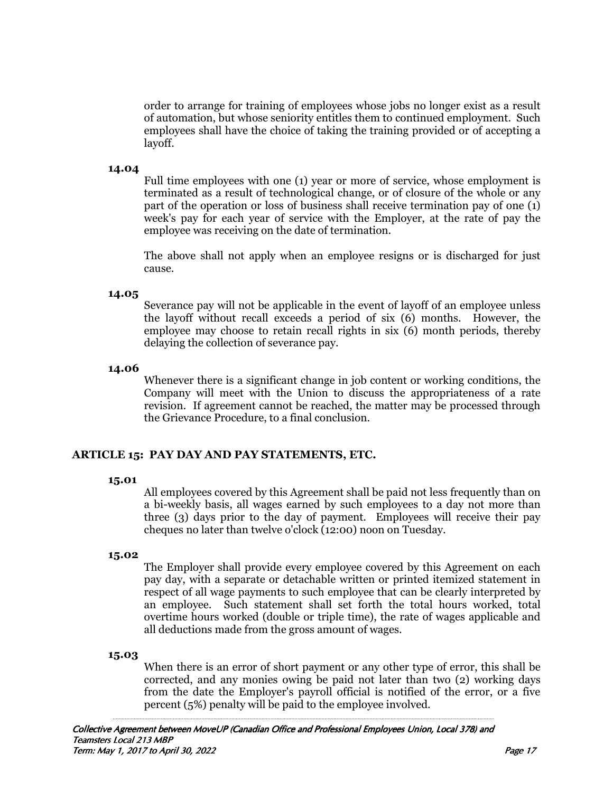order to arrange for training of employees whose jobs no longer exist as a result of automation, but whose seniority entitles them to continued employment. Such employees shall have the choice of taking the training provided or of accepting a layoff.

#### **14.04**

 Full time employees with one (1) year or more of service, whose employment is terminated as a result of technological change, or of closure of the whole or any part of the operation or loss of business shall receive termination pay of one (1) week's pay for each year of service with the Employer, at the rate of pay the employee was receiving on the date of termination.

The above shall not apply when an employee resigns or is discharged for just cause.

#### **14.05**

 Severance pay will not be applicable in the event of layoff of an employee unless the layoff without recall exceeds a period of six (6) months. However, the employee may choose to retain recall rights in six (6) month periods, thereby delaying the collection of severance pay.

#### **14.06**

 Whenever there is a significant change in job content or working conditions, the Company will meet with the Union to discuss the appropriateness of a rate revision. If agreement cannot be reached, the matter may be processed through the Grievance Procedure, to a final conclusion.

#### **ARTICLE 15: PAY DAY AND PAY STATEMENTS, ETC.**

#### **15.01**

 All employees covered by this Agreement shall be paid not less frequently than on a bi-weekly basis, all wages earned by such employees to a day not more than three (3) days prior to the day of payment. Employees will receive their pay cheques no later than twelve o'clock (12:00) noon on Tuesday.

#### **15.02**

 The Employer shall provide every employee covered by this Agreement on each pay day, with a separate or detachable written or printed itemized statement in respect of all wage payments to such employee that can be clearly interpreted by an employee. Such statement shall set forth the total hours worked, total overtime hours worked (double or triple time), the rate of wages applicable and all deductions made from the gross amount of wages.

# **15.03**

 When there is an error of short payment or any other type of error, this shall be corrected, and any monies owing be paid not later than two (2) working days from the date the Employer's payroll official is notified of the error, or a five percent (5%) penalty will be paid to the employee involved.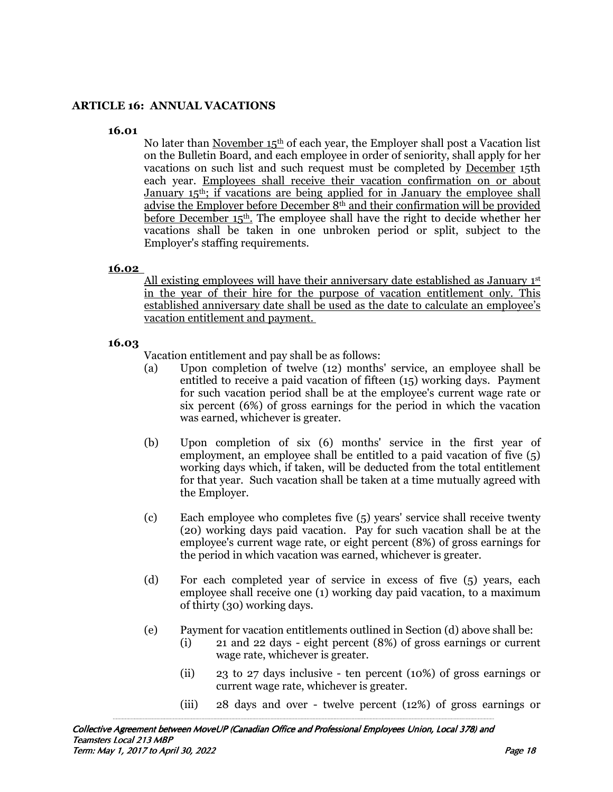# **ARTICLE 16: ANNUAL VACATIONS**

#### **16.01**

No later than November 15<sup>th</sup> of each year, the Employer shall post a Vacation list on the Bulletin Board, and each employee in order of seniority, shall apply for her vacations on such list and such request must be completed by December 15th each year. Employees shall receive their vacation confirmation on or about January 15<sup>th</sup>; if vacations are being applied for in January the employee shall advise the Employer before December 8th and their confirmation will be provided before December 15th. The employee shall have the right to decide whether her vacations shall be taken in one unbroken period or split, subject to the Employer's staffing requirements.

#### **16.02**

All existing employees will have their anniversary date established as January 1st in the year of their hire for the purpose of vacation entitlement only. This established anniversary date shall be used as the date to calculate an employee's vacation entitlement and payment.

### **16.03**

Vacation entitlement and pay shall be as follows:

- (a) Upon completion of twelve (12) months' service, an employee shall be entitled to receive a paid vacation of fifteen (15) working days. Payment for such vacation period shall be at the employee's current wage rate or six percent (6%) of gross earnings for the period in which the vacation was earned, whichever is greater.
- (b) Upon completion of six (6) months' service in the first year of employment, an employee shall be entitled to a paid vacation of five (5) working days which, if taken, will be deducted from the total entitlement for that year. Such vacation shall be taken at a time mutually agreed with the Employer.
- (c) Each employee who completes five (5) years' service shall receive twenty (20) working days paid vacation. Pay for such vacation shall be at the employee's current wage rate, or eight percent (8%) of gross earnings for the period in which vacation was earned, whichever is greater.
- (d) For each completed year of service in excess of five (5) years, each employee shall receive one (1) working day paid vacation, to a maximum of thirty (30) working days.
- (e) Payment for vacation entitlements outlined in Section (d) above shall be:
	- (i) 21 and 22 days eight percent (8%) of gross earnings or current wage rate, whichever is greater.
	- (ii) 23 to 27 days inclusive ten percent (10%) of gross earnings or current wage rate, whichever is greater.
	- (iii) 28 days and over twelve percent (12%) of gross earnings or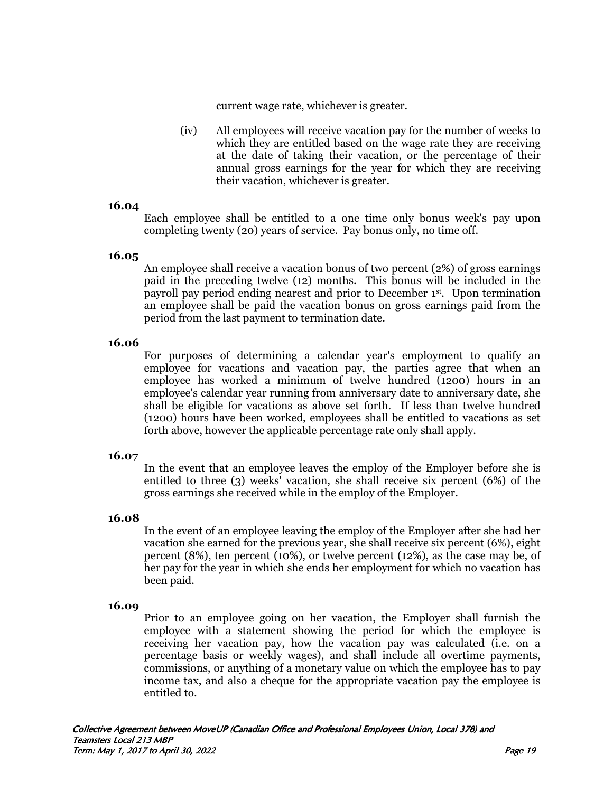current wage rate, whichever is greater.

(iv) All employees will receive vacation pay for the number of weeks to which they are entitled based on the wage rate they are receiving at the date of taking their vacation, or the percentage of their annual gross earnings for the year for which they are receiving their vacation, whichever is greater.

#### **16.04**

 Each employee shall be entitled to a one time only bonus week's pay upon completing twenty (20) years of service. Pay bonus only, no time off.

#### **16.05**

 An employee shall receive a vacation bonus of two percent (2%) of gross earnings paid in the preceding twelve (12) months. This bonus will be included in the payroll pay period ending nearest and prior to December 1st. Upon termination an employee shall be paid the vacation bonus on gross earnings paid from the period from the last payment to termination date.

#### **16.06**

 For purposes of determining a calendar year's employment to qualify an employee for vacations and vacation pay, the parties agree that when an employee has worked a minimum of twelve hundred (1200) hours in an employee's calendar year running from anniversary date to anniversary date, she shall be eligible for vacations as above set forth. If less than twelve hundred (1200) hours have been worked, employees shall be entitled to vacations as set forth above, however the applicable percentage rate only shall apply.

#### **16.07**

 In the event that an employee leaves the employ of the Employer before she is entitled to three (3) weeks' vacation, she shall receive six percent (6%) of the gross earnings she received while in the employ of the Employer.

#### **16.08**

 In the event of an employee leaving the employ of the Employer after she had her vacation she earned for the previous year, she shall receive six percent (6%), eight percent (8%), ten percent (10%), or twelve percent (12%), as the case may be, of her pay for the year in which she ends her employment for which no vacation has been paid.

#### **16.09**

Prior to an employee going on her vacation, the Employer shall furnish the employee with a statement showing the period for which the employee is receiving her vacation pay, how the vacation pay was calculated (i.e. on a percentage basis or weekly wages), and shall include all overtime payments, commissions, or anything of a monetary value on which the employee has to pay income tax, and also a cheque for the appropriate vacation pay the employee is entitled to.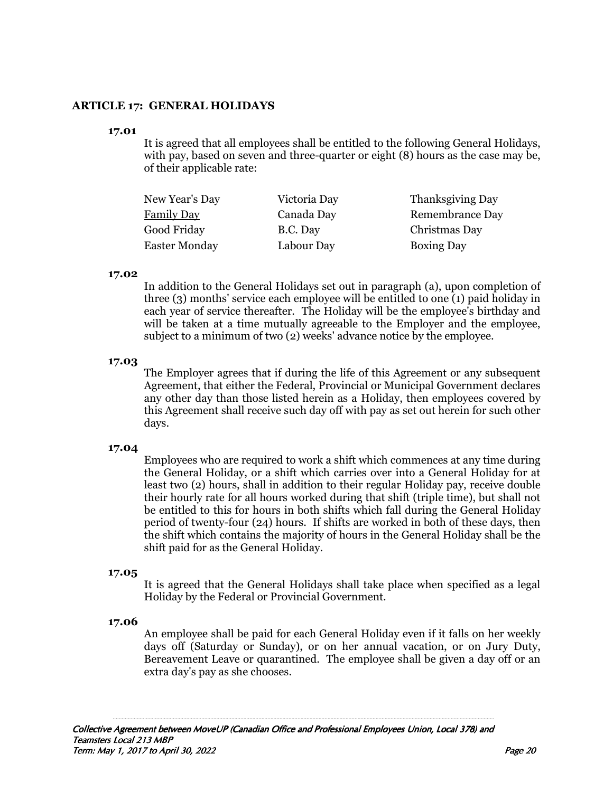## **ARTICLE 17: GENERAL HOLIDAYS**

#### **17.01**

 It is agreed that all employees shall be entitled to the following General Holidays, with pay, based on seven and three-quarter or eight (8) hours as the case may be, of their applicable rate:

| New Year's Day       | Victoria Day | <b>Thanksgiving Day</b> |
|----------------------|--------------|-------------------------|
| <b>Family Day</b>    | Canada Day   | <b>Remembrance Day</b>  |
| Good Friday          | B.C. Day     | Christmas Day           |
| <b>Easter Monday</b> | Labour Day   | <b>Boxing Day</b>       |

#### **17.02**

 In addition to the General Holidays set out in paragraph (a), upon completion of three (3) months' service each employee will be entitled to one (1) paid holiday in each year of service thereafter. The Holiday will be the employee's birthday and will be taken at a time mutually agreeable to the Employer and the employee, subject to a minimum of two (2) weeks' advance notice by the employee.

#### **17.03**

 The Employer agrees that if during the life of this Agreement or any subsequent Agreement, that either the Federal, Provincial or Municipal Government declares any other day than those listed herein as a Holiday, then employees covered by this Agreement shall receive such day off with pay as set out herein for such other days.

#### **17.04**

 Employees who are required to work a shift which commences at any time during the General Holiday, or a shift which carries over into a General Holiday for at least two (2) hours, shall in addition to their regular Holiday pay, receive double their hourly rate for all hours worked during that shift (triple time), but shall not be entitled to this for hours in both shifts which fall during the General Holiday period of twenty-four (24) hours. If shifts are worked in both of these days, then the shift which contains the majority of hours in the General Holiday shall be the shift paid for as the General Holiday.

#### **17.05**

 It is agreed that the General Holidays shall take place when specified as a legal Holiday by the Federal or Provincial Government.

#### **17.06**

 An employee shall be paid for each General Holiday even if it falls on her weekly days off (Saturday or Sunday), or on her annual vacation, or on Jury Duty, Bereavement Leave or quarantined. The employee shall be given a day off or an extra day's pay as she chooses.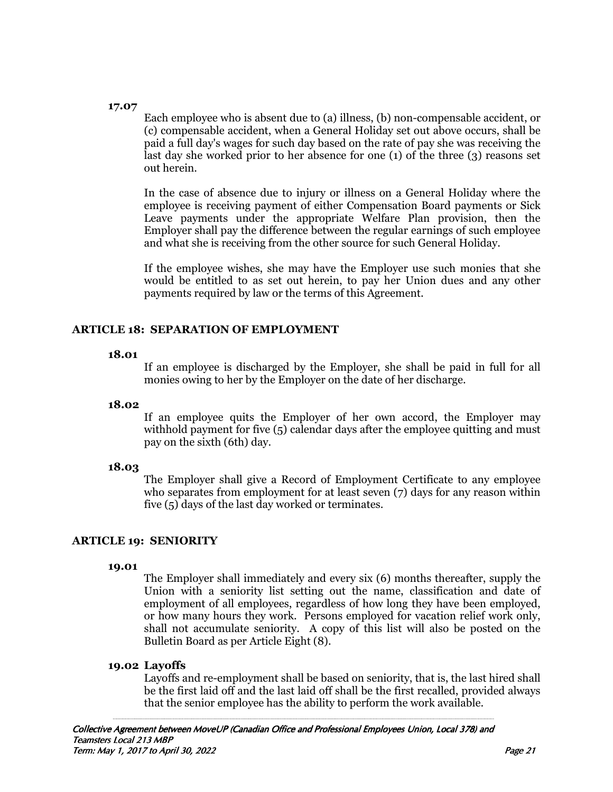#### **17.07**

 Each employee who is absent due to (a) illness, (b) non-compensable accident, or (c) compensable accident, when a General Holiday set out above occurs, shall be paid a full day's wages for such day based on the rate of pay she was receiving the last day she worked prior to her absence for one (1) of the three (3) reasons set out herein.

In the case of absence due to injury or illness on a General Holiday where the employee is receiving payment of either Compensation Board payments or Sick Leave payments under the appropriate Welfare Plan provision, then the Employer shall pay the difference between the regular earnings of such employee and what she is receiving from the other source for such General Holiday.

If the employee wishes, she may have the Employer use such monies that she would be entitled to as set out herein, to pay her Union dues and any other payments required by law or the terms of this Agreement.

# **ARTICLE 18: SEPARATION OF EMPLOYMENT**

#### **18.01**

 If an employee is discharged by the Employer, she shall be paid in full for all monies owing to her by the Employer on the date of her discharge.

#### **18.02**

 If an employee quits the Employer of her own accord, the Employer may withhold payment for five (5) calendar days after the employee quitting and must pay on the sixth (6th) day.

#### **18.03**

 The Employer shall give a Record of Employment Certificate to any employee who separates from employment for at least seven (7) days for any reason within five (5) days of the last day worked or terminates.

# **ARTICLE 19: SENIORITY**

#### **19.01**

 The Employer shall immediately and every six (6) months thereafter, supply the Union with a seniority list setting out the name, classification and date of employment of all employees, regardless of how long they have been employed, or how many hours they work. Persons employed for vacation relief work only, shall not accumulate seniority. A copy of this list will also be posted on the Bulletin Board as per Article Eight (8).

#### **19.02 Layoffs**

Layoffs and re-employment shall be based on seniority, that is, the last hired shall be the first laid off and the last laid off shall be the first recalled, provided always that the senior employee has the ability to perform the work available.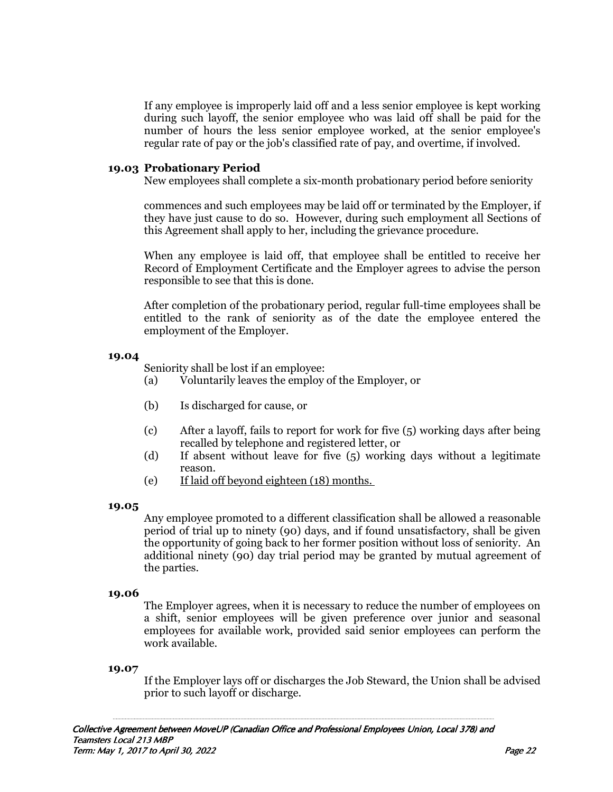If any employee is improperly laid off and a less senior employee is kept working during such layoff, the senior employee who was laid off shall be paid for the number of hours the less senior employee worked, at the senior employee's regular rate of pay or the job's classified rate of pay, and overtime, if involved.

#### **19.03 Probationary Period**

New employees shall complete a six-month probationary period before seniority

commences and such employees may be laid off or terminated by the Employer, if they have just cause to do so. However, during such employment all Sections of this Agreement shall apply to her, including the grievance procedure.

When any employee is laid off, that employee shall be entitled to receive her Record of Employment Certificate and the Employer agrees to advise the person responsible to see that this is done.

After completion of the probationary period, regular full-time employees shall be entitled to the rank of seniority as of the date the employee entered the employment of the Employer.

#### **19.04**

Seniority shall be lost if an employee:

- (a) Voluntarily leaves the employ of the Employer, or
- (b) Is discharged for cause, or
- (c) After a layoff, fails to report for work for five (5) working days after being recalled by telephone and registered letter, or
- (d) If absent without leave for five (5) working days without a legitimate reason.
- (e) If laid off beyond eighteen (18) months.

#### **19.05**

 Any employee promoted to a different classification shall be allowed a reasonable period of trial up to ninety (90) days, and if found unsatisfactory, shall be given the opportunity of going back to her former position without loss of seniority. An additional ninety (90) day trial period may be granted by mutual agreement of the parties.

#### **19.06**

 The Employer agrees, when it is necessary to reduce the number of employees on a shift, senior employees will be given preference over junior and seasonal employees for available work, provided said senior employees can perform the work available.

#### **19.07**

 If the Employer lays off or discharges the Job Steward, the Union shall be advised prior to such layoff or discharge.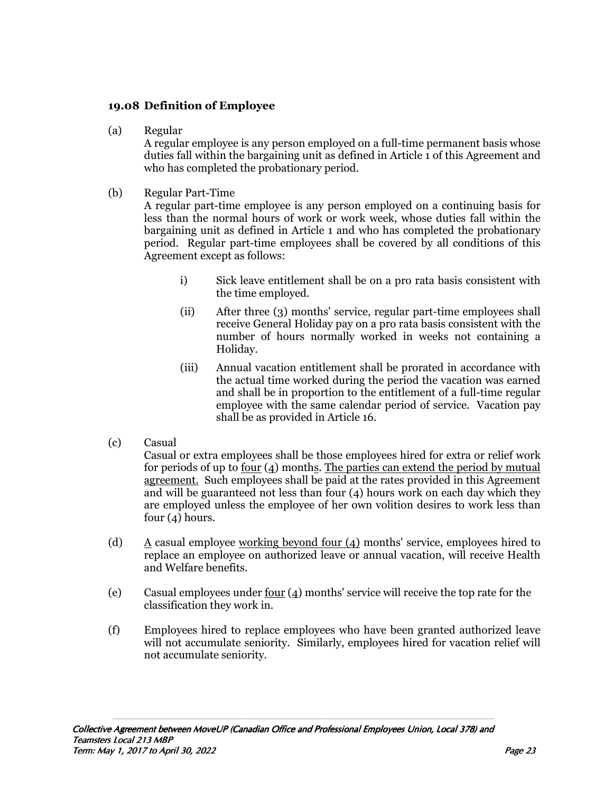# **19.08 Definition of Employee**

(a) Regular

A regular employee is any person employed on a full-time permanent basis whose duties fall within the bargaining unit as defined in Article 1 of this Agreement and who has completed the probationary period.

(b) Regular Part-Time

 A regular part-time employee is any person employed on a continuing basis for less than the normal hours of work or work week, whose duties fall within the bargaining unit as defined in Article 1 and who has completed the probationary period. Regular part-time employees shall be covered by all conditions of this Agreement except as follows:

- i) Sick leave entitlement shall be on a pro rata basis consistent with the time employed.
- (ii) After three (3) months' service, regular part-time employees shall receive General Holiday pay on a pro rata basis consistent with the number of hours normally worked in weeks not containing a Holiday.
- (iii) Annual vacation entitlement shall be prorated in accordance with the actual time worked during the period the vacation was earned and shall be in proportion to the entitlement of a full-time regular employee with the same calendar period of service. Vacation pay shall be as provided in Article 16.
- (c) Casual

 Casual or extra employees shall be those employees hired for extra or relief work for periods of up to four (4) months. The parties can extend the period by mutual agreement. Such employees shall be paid at the rates provided in this Agreement and will be guaranteed not less than four (4) hours work on each day which they are employed unless the employee of her own volition desires to work less than four (4) hours.

- (d)  $A$  casual employee working beyond four (4) months' service, employees hired to replace an employee on authorized leave or annual vacation, will receive Health and Welfare benefits.
- (e) Casual employees under <u>four</u>  $(4)$  months' service will receive the top rate for the classification they work in.
- (f) Employees hired to replace employees who have been granted authorized leave will not accumulate seniority. Similarly, employees hired for vacation relief will not accumulate seniority.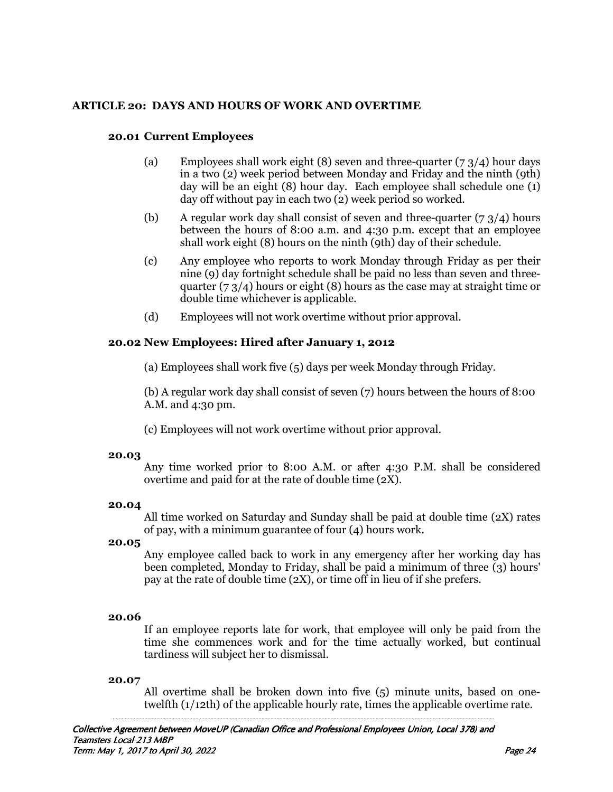# **ARTICLE 20: DAYS AND HOURS OF WORK AND OVERTIME**

#### **20.01 Current Employees**

- (a) Employees shall work eight (8) seven and three-quarter  $(7, 3/4)$  hour days in a two (2) week period between Monday and Friday and the ninth (9th) day will be an eight (8) hour day. Each employee shall schedule one (1) day off without pay in each two (2) week period so worked.
- (b) A regular work day shall consist of seven and three-quarter  $(7, 3/4)$  hours between the hours of 8:00 a.m. and 4:30 p.m. except that an employee shall work eight  $(8)$  hours on the ninth  $(9th)$  day of their schedule.
- (c) Any employee who reports to work Monday through Friday as per their nine (9) day fortnight schedule shall be paid no less than seven and threequarter  $(7 \frac{3}{4})$  hours or eight (8) hours as the case may at straight time or double time whichever is applicable.
- (d) Employees will not work overtime without prior approval.

## **20.02 New Employees: Hired after January 1, 2012**

(a) Employees shall work five (5) days per week Monday through Friday.

(b) A regular work day shall consist of seven (7) hours between the hours of 8:00 A.M. and 4:30 pm.

(c) Employees will not work overtime without prior approval.

#### **20.03**

 Any time worked prior to 8:00 A.M. or after 4:30 P.M. shall be considered overtime and paid for at the rate of double time (2X).

#### **20.04**

 All time worked on Saturday and Sunday shall be paid at double time (2X) rates of pay, with a minimum guarantee of four (4) hours work.

#### **20.05**

 Any employee called back to work in any emergency after her working day has been completed, Monday to Friday, shall be paid a minimum of three  $\overline{3}$ ) hours' pay at the rate of double time (2X), or time off in lieu of if she prefers.

#### **20.06**

 If an employee reports late for work, that employee will only be paid from the time she commences work and for the time actually worked, but continual tardiness will subject her to dismissal.

#### **20.07**

 All overtime shall be broken down into five (5) minute units, based on onetwelfth (1/12th) of the applicable hourly rate, times the applicable overtime rate.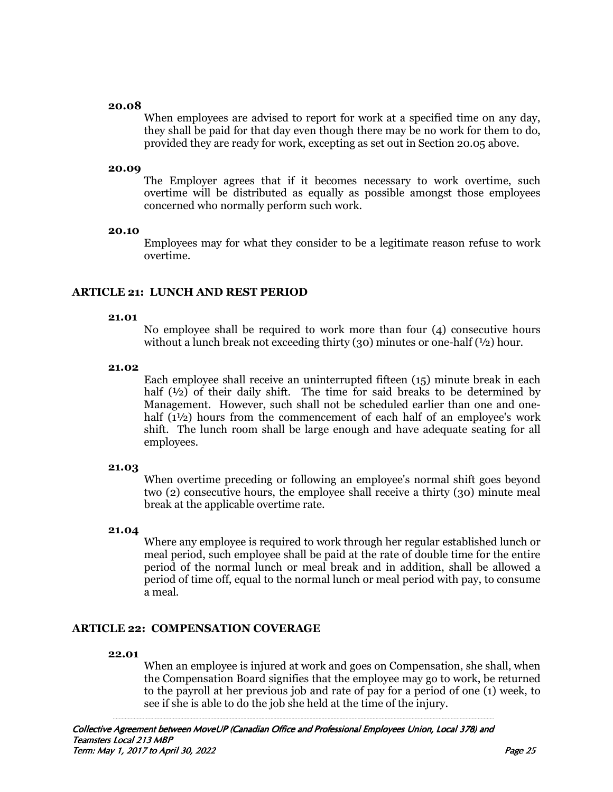#### **20.08**

 When employees are advised to report for work at a specified time on any day, they shall be paid for that day even though there may be no work for them to do, provided they are ready for work, excepting as set out in Section 20.05 above.

#### **20.09**

 The Employer agrees that if it becomes necessary to work overtime, such overtime will be distributed as equally as possible amongst those employees concerned who normally perform such work.

#### **20.10**

 Employees may for what they consider to be a legitimate reason refuse to work overtime.

## **ARTICLE 21: LUNCH AND REST PERIOD**

#### **21.01**

 No employee shall be required to work more than four (4) consecutive hours without a lunch break not exceeding thirty (30) minutes or one-half  $(½)$  hour.

#### **21.02**

 Each employee shall receive an uninterrupted fifteen (15) minute break in each half  $(1/2)$  of their daily shift. The time for said breaks to be determined by Management. However, such shall not be scheduled earlier than one and onehalf  $(1<sup>1</sup>/<sub>2</sub>)$  hours from the commencement of each half of an employee's work shift. The lunch room shall be large enough and have adequate seating for all employees.

# **21.03**

 When overtime preceding or following an employee's normal shift goes beyond two (2) consecutive hours, the employee shall receive a thirty (30) minute meal break at the applicable overtime rate.

#### **21.04**

 Where any employee is required to work through her regular established lunch or meal period, such employee shall be paid at the rate of double time for the entire period of the normal lunch or meal break and in addition, shall be allowed a period of time off, equal to the normal lunch or meal period with pay, to consume a meal.

#### **ARTICLE 22: COMPENSATION COVERAGE**

#### **22.01**

 When an employee is injured at work and goes on Compensation, she shall, when the Compensation Board signifies that the employee may go to work, be returned to the payroll at her previous job and rate of pay for a period of one (1) week, to see if she is able to do the job she held at the time of the injury.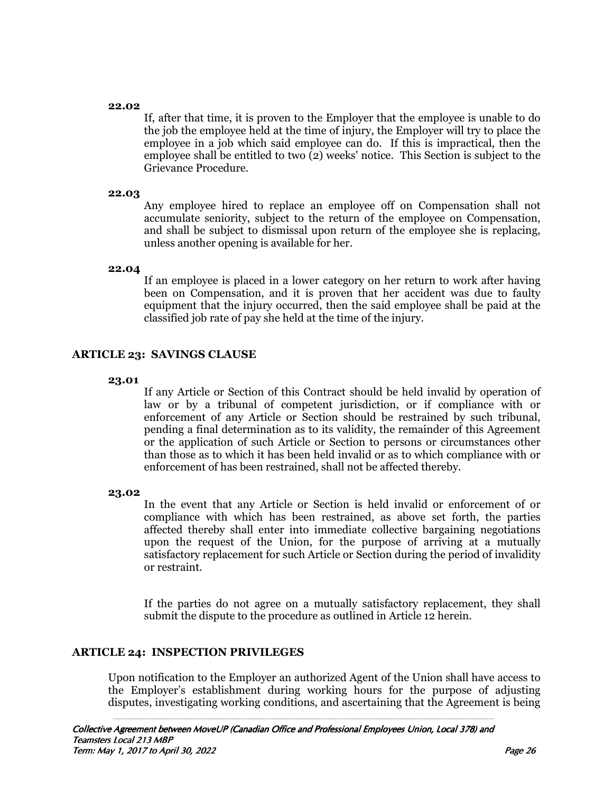#### **22.02**

 If, after that time, it is proven to the Employer that the employee is unable to do the job the employee held at the time of injury, the Employer will try to place the employee in a job which said employee can do. If this is impractical, then the employee shall be entitled to two  $\tilde{2}$ ) weeks' notice. This Section is subject to the Grievance Procedure.

#### **22.03**

 Any employee hired to replace an employee off on Compensation shall not accumulate seniority, subject to the return of the employee on Compensation, and shall be subject to dismissal upon return of the employee she is replacing, unless another opening is available for her.

#### **22.04**

 If an employee is placed in a lower category on her return to work after having been on Compensation, and it is proven that her accident was due to faulty equipment that the injury occurred, then the said employee shall be paid at the classified job rate of pay she held at the time of the injury.

## **ARTICLE 23: SAVINGS CLAUSE**

#### **23.01**

 If any Article or Section of this Contract should be held invalid by operation of law or by a tribunal of competent jurisdiction, or if compliance with or enforcement of any Article or Section should be restrained by such tribunal, pending a final determination as to its validity, the remainder of this Agreement or the application of such Article or Section to persons or circumstances other than those as to which it has been held invalid or as to which compliance with or enforcement of has been restrained, shall not be affected thereby.

#### **23.02**

 In the event that any Article or Section is held invalid or enforcement of or compliance with which has been restrained, as above set forth, the parties affected thereby shall enter into immediate collective bargaining negotiations upon the request of the Union, for the purpose of arriving at a mutually satisfactory replacement for such Article or Section during the period of invalidity or restraint.

If the parties do not agree on a mutually satisfactory replacement, they shall submit the dispute to the procedure as outlined in Article 12 herein.

#### **ARTICLE 24: INSPECTION PRIVILEGES**

Upon notification to the Employer an authorized Agent of the Union shall have access to the Employer's establishment during working hours for the purpose of adjusting disputes, investigating working conditions, and ascertaining that the Agreement is being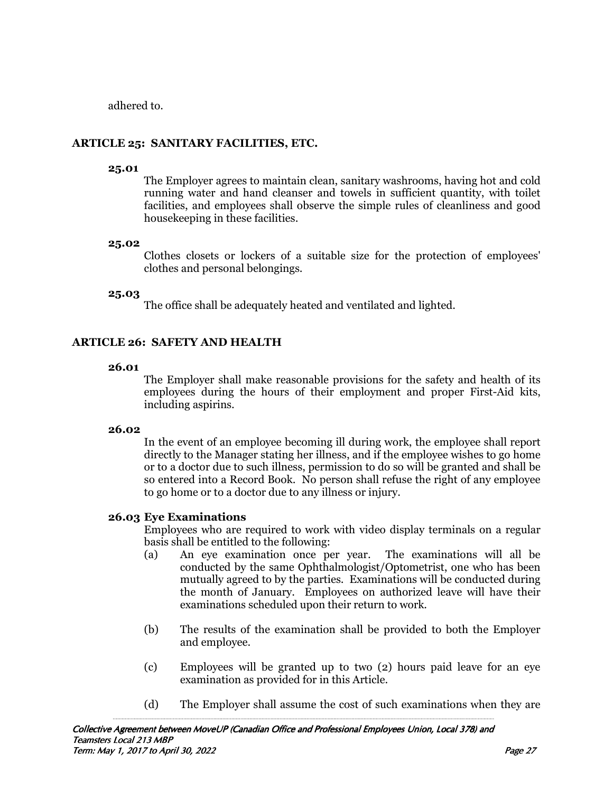adhered to.

# **ARTICLE 25: SANITARY FACILITIES, ETC.**

## **25.01**

 The Employer agrees to maintain clean, sanitary washrooms, having hot and cold running water and hand cleanser and towels in sufficient quantity, with toilet facilities, and employees shall observe the simple rules of cleanliness and good housekeeping in these facilities.

# **25.02**

 Clothes closets or lockers of a suitable size for the protection of employees' clothes and personal belongings.

# **25.03**

The office shall be adequately heated and ventilated and lighted.

# **ARTICLE 26: SAFETY AND HEALTH**

## **26.01**

 The Employer shall make reasonable provisions for the safety and health of its employees during the hours of their employment and proper First-Aid kits, including aspirins.

# **26.02**

 In the event of an employee becoming ill during work, the employee shall report directly to the Manager stating her illness, and if the employee wishes to go home or to a doctor due to such illness, permission to do so will be granted and shall be so entered into a Record Book. No person shall refuse the right of any employee to go home or to a doctor due to any illness or injury.

# **26.03 Eye Examinations**

Employees who are required to work with video display terminals on a regular basis shall be entitled to the following:

- (a) An eye examination once per year. The examinations will all be conducted by the same Ophthalmologist/Optometrist, one who has been mutually agreed to by the parties. Examinations will be conducted during the month of January. Employees on authorized leave will have their examinations scheduled upon their return to work.
- (b) The results of the examination shall be provided to both the Employer and employee.
- (c) Employees will be granted up to two (2) hours paid leave for an eye examination as provided for in this Article.
- (d) The Employer shall assume the cost of such examinations when they are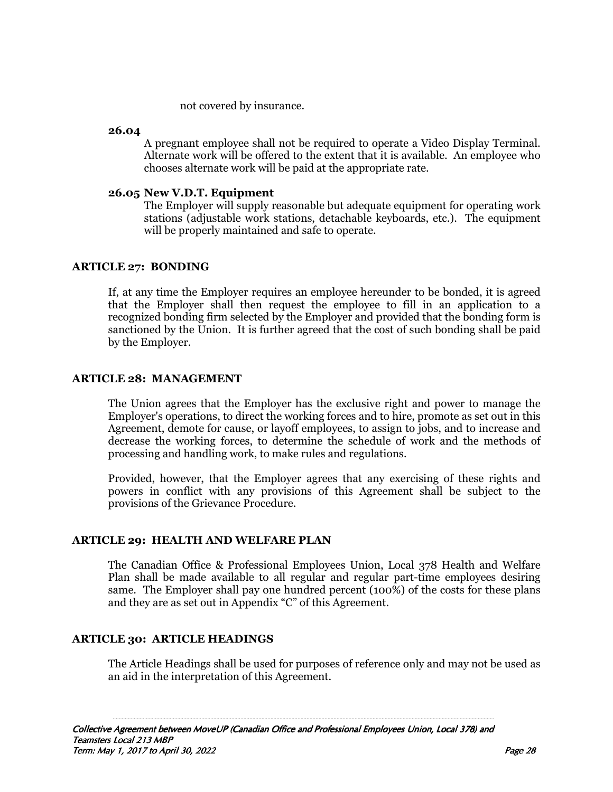not covered by insurance.

#### **26.04**

 A pregnant employee shall not be required to operate a Video Display Terminal. Alternate work will be offered to the extent that it is available. An employee who chooses alternate work will be paid at the appropriate rate.

#### **26.05 New V.D.T. Equipment**

The Employer will supply reasonable but adequate equipment for operating work stations (adjustable work stations, detachable keyboards, etc.). The equipment will be properly maintained and safe to operate.

# **ARTICLE 27: BONDING**

If, at any time the Employer requires an employee hereunder to be bonded, it is agreed that the Employer shall then request the employee to fill in an application to a recognized bonding firm selected by the Employer and provided that the bonding form is sanctioned by the Union. It is further agreed that the cost of such bonding shall be paid by the Employer.

# **ARTICLE 28: MANAGEMENT**

The Union agrees that the Employer has the exclusive right and power to manage the Employer's operations, to direct the working forces and to hire, promote as set out in this Agreement, demote for cause, or layoff employees, to assign to jobs, and to increase and decrease the working forces, to determine the schedule of work and the methods of processing and handling work, to make rules and regulations.

Provided, however, that the Employer agrees that any exercising of these rights and powers in conflict with any provisions of this Agreement shall be subject to the provisions of the Grievance Procedure.

# **ARTICLE 29: HEALTH AND WELFARE PLAN**

 The Canadian Office & Professional Employees Union, Local 378 Health and Welfare Plan shall be made available to all regular and regular part-time employees desiring same. The Employer shall pay one hundred percent (100%) of the costs for these plans and they are as set out in Appendix "C" of this Agreement.

# **ARTICLE 30: ARTICLE HEADINGS**

The Article Headings shall be used for purposes of reference only and may not be used as an aid in the interpretation of this Agreement.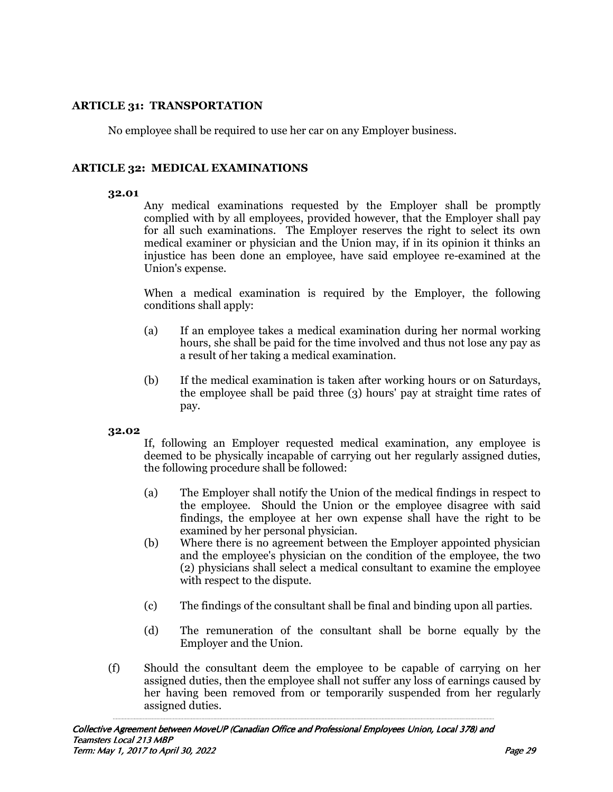# **ARTICLE 31: TRANSPORTATION**

No employee shall be required to use her car on any Employer business.

# **ARTICLE 32: MEDICAL EXAMINATIONS**

#### **32.01**

 Any medical examinations requested by the Employer shall be promptly complied with by all employees, provided however, that the Employer shall pay for all such examinations. The Employer reserves the right to select its own medical examiner or physician and the Union may, if in its opinion it thinks an injustice has been done an employee, have said employee re-examined at the Union's expense.

When a medical examination is required by the Employer, the following conditions shall apply:

- (a) If an employee takes a medical examination during her normal working hours, she shall be paid for the time involved and thus not lose any pay as a result of her taking a medical examination.
- (b) If the medical examination is taken after working hours or on Saturdays, the employee shall be paid three (3) hours' pay at straight time rates of pay.

#### **32.02**

If, following an Employer requested medical examination, any employee is deemed to be physically incapable of carrying out her regularly assigned duties, the following procedure shall be followed:

- (a) The Employer shall notify the Union of the medical findings in respect to the employee. Should the Union or the employee disagree with said findings, the employee at her own expense shall have the right to be examined by her personal physician.
- (b) Where there is no agreement between the Employer appointed physician and the employee's physician on the condition of the employee, the two (2) physicians shall select a medical consultant to examine the employee with respect to the dispute.
- (c) The findings of the consultant shall be final and binding upon all parties.
- (d) The remuneration of the consultant shall be borne equally by the Employer and the Union.
- (f) Should the consultant deem the employee to be capable of carrying on her assigned duties, then the employee shall not suffer any loss of earnings caused by her having been removed from or temporarily suspended from her regularly assigned duties.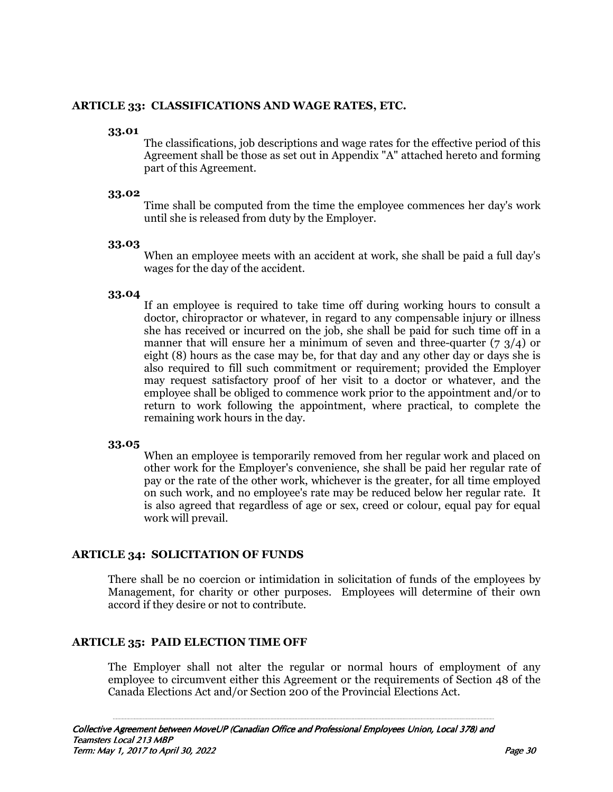#### **ARTICLE 33: CLASSIFICATIONS AND WAGE RATES, ETC.**

#### **33.01**

 The classifications, job descriptions and wage rates for the effective period of this Agreement shall be those as set out in Appendix "A" attached hereto and forming part of this Agreement.

#### **33.02**

 Time shall be computed from the time the employee commences her day's work until she is released from duty by the Employer.

#### **33.03**

 When an employee meets with an accident at work, she shall be paid a full day's wages for the day of the accident.

## **33.04**

 If an employee is required to take time off during working hours to consult a doctor, chiropractor or whatever, in regard to any compensable injury or illness she has received or incurred on the job, she shall be paid for such time off in a manner that will ensure her a minimum of seven and three-quarter  $(7, 3/4)$  or eight (8) hours as the case may be, for that day and any other day or days she is also required to fill such commitment or requirement; provided the Employer may request satisfactory proof of her visit to a doctor or whatever, and the employee shall be obliged to commence work prior to the appointment and/or to return to work following the appointment, where practical, to complete the remaining work hours in the day.

#### **33.05**

 When an employee is temporarily removed from her regular work and placed on other work for the Employer's convenience, she shall be paid her regular rate of pay or the rate of the other work, whichever is the greater, for all time employed on such work, and no employee's rate may be reduced below her regular rate. It is also agreed that regardless of age or sex, creed or colour, equal pay for equal work will prevail.

# **ARTICLE 34: SOLICITATION OF FUNDS**

There shall be no coercion or intimidation in solicitation of funds of the employees by Management, for charity or other purposes. Employees will determine of their own accord if they desire or not to contribute.

# **ARTICLE 35: PAID ELECTION TIME OFF**

The Employer shall not alter the regular or normal hours of employment of any employee to circumvent either this Agreement or the requirements of Section 48 of the Canada Elections Act and/or Section 200 of the Provincial Elections Act.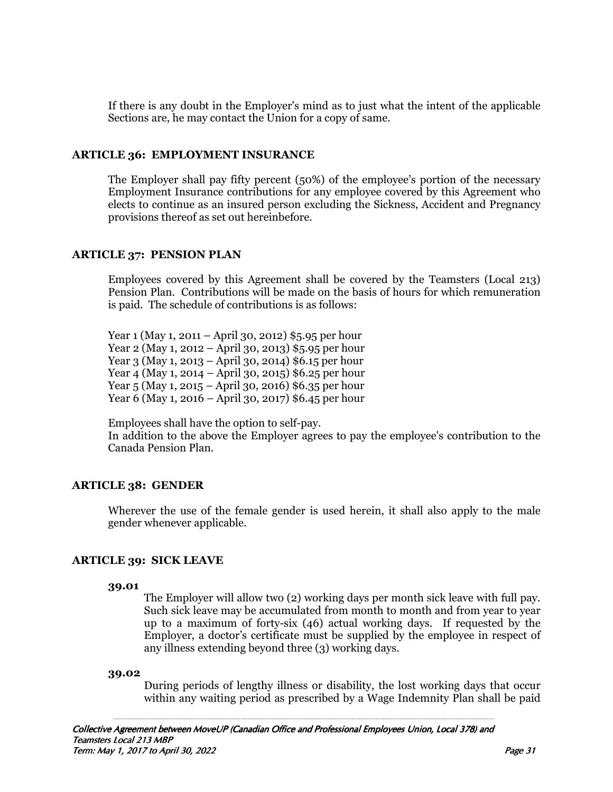If there is any doubt in the Employer's mind as to just what the intent of the applicable Sections are, he may contact the Union for a copy of same.

## **ARTICLE 36: EMPLOYMENT INSURANCE**

 The Employer shall pay fifty percent (50%) of the employee's portion of the necessary Employment Insurance contributions for any employee covered by this Agreement who elects to continue as an insured person excluding the Sickness, Accident and Pregnancy provisions thereof as set out hereinbefore.

## **ARTICLE 37: PENSION PLAN**

Employees covered by this Agreement shall be covered by the Teamsters (Local 213) Pension Plan. Contributions will be made on the basis of hours for which remuneration is paid. The schedule of contributions is as follows:

Year 1 (May 1, 2011 – April 30, 2012) \$5.95 per hour Year 2 (May 1, 2012 – April 30, 2013) \$5.95 per hour Year 3 (May 1, 2013 – April 30, 2014) \$6.15 per hour Year 4 (May 1, 2014 – April 30, 2015) \$6.25 per hour Year 5 (May 1, 2015 – April 30, 2016) \$6.35 per hour Year 6 (May 1, 2016 – April 30, 2017) \$6.45 per hour

 Employees shall have the option to self-pay. In addition to the above the Employer agrees to pay the employee's contribution to the Canada Pension Plan.

# **ARTICLE 38: GENDER**

Wherever the use of the female gender is used herein, it shall also apply to the male gender whenever applicable.

# **ARTICLE 39: SICK LEAVE**

#### **39.01**

 The Employer will allow two (2) working days per month sick leave with full pay. Such sick leave may be accumulated from month to month and from year to year up to a maximum of forty-six (46) actual working days. If requested by the Employer, a doctor's certificate must be supplied by the employee in respect of any illness extending beyond three (3) working days.

#### **39.02**

 During periods of lengthy illness or disability, the lost working days that occur within any waiting period as prescribed by a Wage Indemnity Plan shall be paid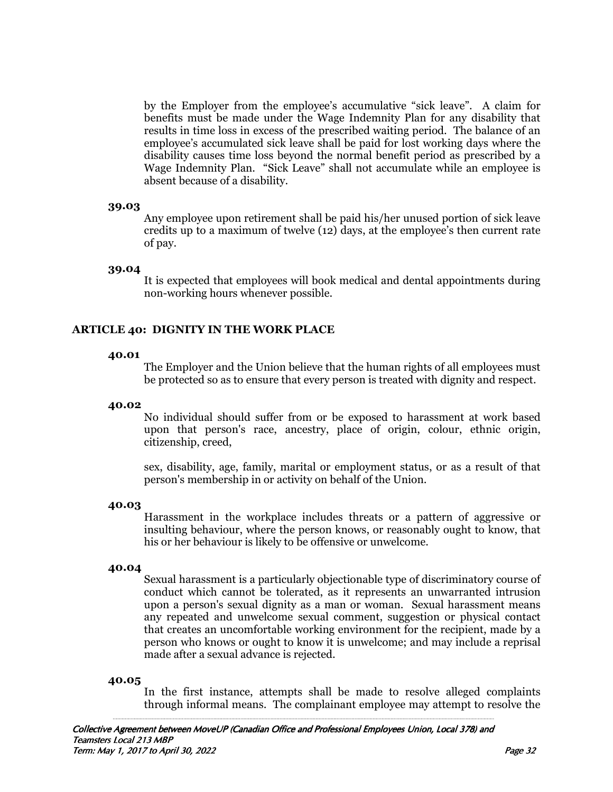by the Employer from the employee's accumulative "sick leave". A claim for benefits must be made under the Wage Indemnity Plan for any disability that results in time loss in excess of the prescribed waiting period. The balance of an employee's accumulated sick leave shall be paid for lost working days where the disability causes time loss beyond the normal benefit period as prescribed by a Wage Indemnity Plan. "Sick Leave" shall not accumulate while an employee is absent because of a disability.

#### **39.03**

 Any employee upon retirement shall be paid his/her unused portion of sick leave credits up to a maximum of twelve (12) days, at the employee's then current rate of pay.

#### **39.04**

 It is expected that employees will book medical and dental appointments during non-working hours whenever possible.

# **ARTICLE 40: DIGNITY IN THE WORK PLACE**

#### **40.01**

 The Employer and the Union believe that the human rights of all employees must be protected so as to ensure that every person is treated with dignity and respect.

#### **40.02**

 No individual should suffer from or be exposed to harassment at work based upon that person's race, ancestry, place of origin, colour, ethnic origin, citizenship, creed,

 sex, disability, age, family, marital or employment status, or as a result of that person's membership in or activity on behalf of the Union.

#### **40.03**

 Harassment in the workplace includes threats or a pattern of aggressive or insulting behaviour, where the person knows, or reasonably ought to know, that his or her behaviour is likely to be offensive or unwelcome.

#### **40.04**

 Sexual harassment is a particularly objectionable type of discriminatory course of conduct which cannot be tolerated, as it represents an unwarranted intrusion upon a person's sexual dignity as a man or woman. Sexual harassment means any repeated and unwelcome sexual comment, suggestion or physical contact that creates an uncomfortable working environment for the recipient, made by a person who knows or ought to know it is unwelcome; and may include a reprisal made after a sexual advance is rejected.

#### **40.05**

 In the first instance, attempts shall be made to resolve alleged complaints through informal means. The complainant employee may attempt to resolve the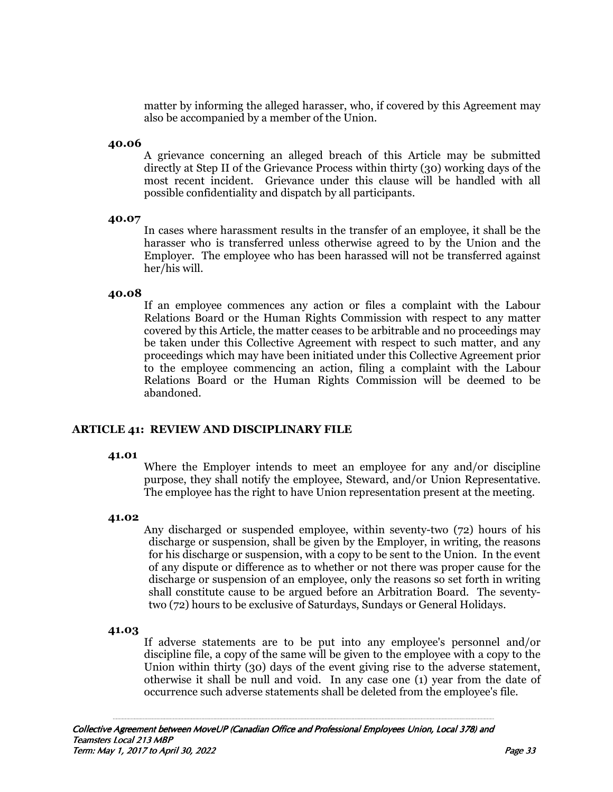matter by informing the alleged harasser, who, if covered by this Agreement may also be accompanied by a member of the Union.

#### **40.06**

 A grievance concerning an alleged breach of this Article may be submitted directly at Step II of the Grievance Process within thirty (30) working days of the most recent incident. Grievance under this clause will be handled with all possible confidentiality and dispatch by all participants.

#### **40.07**

In cases where harassment results in the transfer of an employee, it shall be the harasser who is transferred unless otherwise agreed to by the Union and the Employer. The employee who has been harassed will not be transferred against her/his will.

#### **40.08**

If an employee commences any action or files a complaint with the Labour Relations Board or the Human Rights Commission with respect to any matter covered by this Article, the matter ceases to be arbitrable and no proceedings may be taken under this Collective Agreement with respect to such matter, and any proceedings which may have been initiated under this Collective Agreement prior to the employee commencing an action, filing a complaint with the Labour Relations Board or the Human Rights Commission will be deemed to be abandoned.

#### **ARTICLE 41: REVIEW AND DISCIPLINARY FILE**

#### **41.01**

 Where the Employer intends to meet an employee for any and/or discipline purpose, they shall notify the employee, Steward, and/or Union Representative. The employee has the right to have Union representation present at the meeting.

#### **41.02**

Any discharged or suspended employee, within seventy-two (72) hours of his discharge or suspension, shall be given by the Employer, in writing, the reasons for his discharge or suspension, with a copy to be sent to the Union. In the event of any dispute or difference as to whether or not there was proper cause for the discharge or suspension of an employee, only the reasons so set forth in writing shall constitute cause to be argued before an Arbitration Board. The seventytwo (72) hours to be exclusive of Saturdays, Sundays or General Holidays.

#### **41.03**

 If adverse statements are to be put into any employee's personnel and/or discipline file, a copy of the same will be given to the employee with a copy to the Union within thirty (30) days of the event giving rise to the adverse statement, otherwise it shall be null and void. In any case one (1) year from the date of occurrence such adverse statements shall be deleted from the employee's file.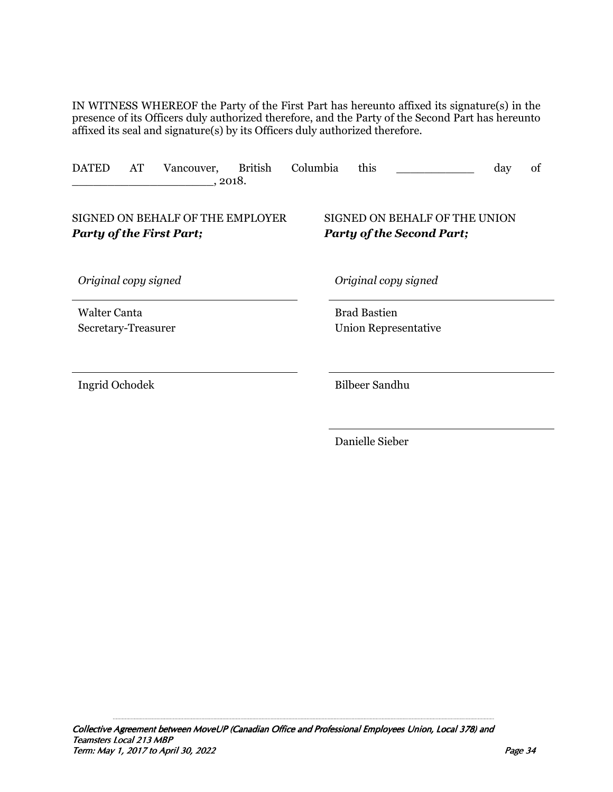IN WITNESS WHEREOF the Party of the First Part has hereunto affixed its signature(s) in the presence of its Officers duly authorized therefore, and the Party of the Second Part has hereunto affixed its seal and signature(s) by its Officers duly authorized therefore.

| <b>DATED</b>                               | AT | Vancouver,                                                   | <b>British</b><br>, 2018. | Columbia | this                  |                                                                   | day | of |
|--------------------------------------------|----|--------------------------------------------------------------|---------------------------|----------|-----------------------|-------------------------------------------------------------------|-----|----|
|                                            |    | SIGNED ON BEHALF OF THE EMPLOYER<br>Party of the First Part; |                           |          |                       | SIGNED ON BEHALF OF THE UNION<br><b>Party of the Second Part;</b> |     |    |
| Original copy signed                       |    |                                                              |                           |          | Original copy signed  |                                                                   |     |    |
| <b>Walter Canta</b><br>Secretary-Treasurer |    |                                                              |                           |          | <b>Brad Bastien</b>   | Union Representative                                              |     |    |
| Ingrid Ochodek                             |    |                                                              |                           |          | <b>Bilbeer Sandhu</b> |                                                                   |     |    |
|                                            |    |                                                              |                           |          | Danielle Sieber       |                                                                   |     |    |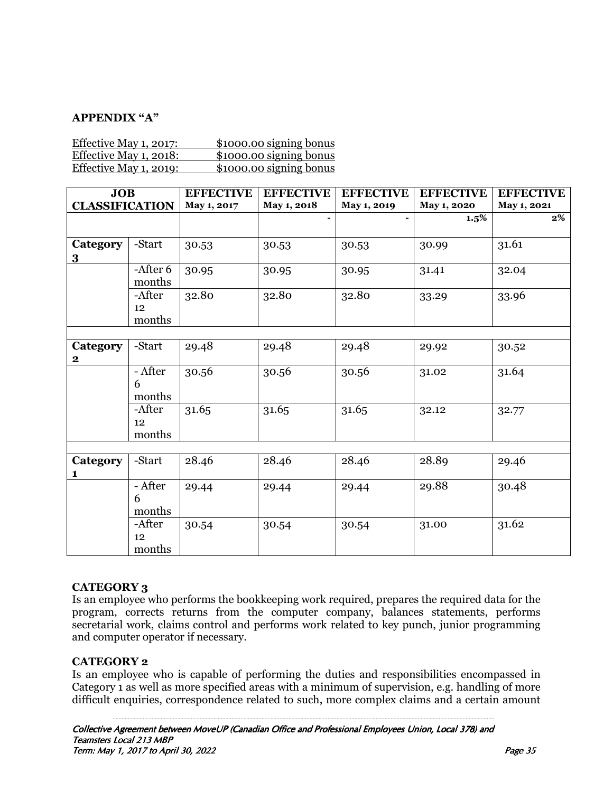# **APPENDIX "A"**

| Effective May 1, 2017:        | \$1000.00 signing bonus |
|-------------------------------|-------------------------|
| <u>Effective May 1, 2018:</u> | \$1000.00 signing bonus |
| Effective May 1, 2019:        | \$1000.00 signing bonus |

| <b>JOB</b>                          |                        | <b>EFFECTIVE</b> | <b>EFFECTIVE</b> | <b>EFFECTIVE</b> | <b>EFFECTIVE</b> | <b>EFFECTIVE</b> |  |
|-------------------------------------|------------------------|------------------|------------------|------------------|------------------|------------------|--|
| <b>CLASSIFICATION</b>               |                        | May 1, 2017      | May 1, 2018      | May 1, 2019      | May 1, 2020      | May 1, 2021      |  |
|                                     |                        |                  |                  | $\blacksquare$   | $1.5\%$          | $\overline{2\%}$ |  |
| Category<br>$\overline{\mathbf{3}}$ | -Start                 | 30.53            | 30.53            | 30.53            | 30.99            | 31.61            |  |
|                                     | -After 6<br>months     | 30.95            | 30.95            | 30.95            | 31.41            | 32.04            |  |
|                                     | -After<br>12<br>months | 32.80            | 32.80            | 32.80            | 33.29            | 33.96            |  |
|                                     |                        |                  |                  |                  |                  |                  |  |
| Category<br>$\bf{2}$                | -Start                 | 29.48            | 29.48            | 29.48            | 29.92            | 30.52            |  |
|                                     | - After<br>6<br>months | 30.56            | 30.56            | 30.56            | 31.02            | 31.64            |  |
|                                     | -After<br>12<br>months | 31.65            | 31.65            | 31.65            | 32.12            | 32.77            |  |
|                                     |                        |                  |                  |                  |                  |                  |  |
| <b>Category</b><br>1                | -Start                 | 28.46            | 28.46            | 28.46            | 28.89            | 29.46            |  |
|                                     | - After<br>6<br>months | 29.44            | 29.44            | 29.44            | 29.88            | 30.48            |  |
|                                     | -After<br>12<br>months | 30.54            | 30.54            | 30.54            | 31.00            | 31.62            |  |

# **CATEGORY 3**

Is an employee who performs the bookkeeping work required, prepares the required data for the program, corrects returns from the computer company, balances statements, performs secretarial work, claims control and performs work related to key punch, junior programming and computer operator if necessary.

#### **CATEGORY 2**

Is an employee who is capable of performing the duties and responsibilities encompassed in Category 1 as well as more specified areas with a minimum of supervision, e.g. handling of more difficult enquiries, correspondence related to such, more complex claims and a certain amount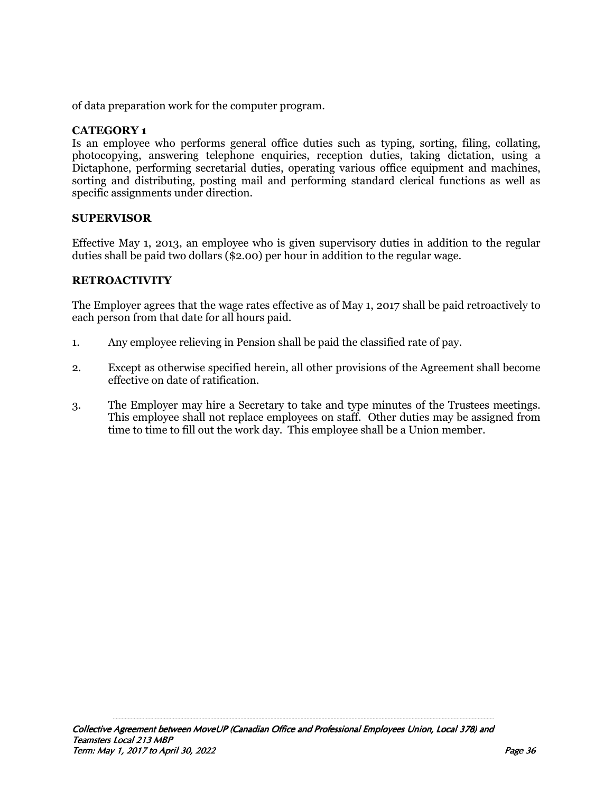of data preparation work for the computer program.

# **CATEGORY 1**

Is an employee who performs general office duties such as typing, sorting, filing, collating, photocopying, answering telephone enquiries, reception duties, taking dictation, using a Dictaphone, performing secretarial duties, operating various office equipment and machines, sorting and distributing, posting mail and performing standard clerical functions as well as specific assignments under direction.

#### **SUPERVISOR**

Effective May 1, 2013, an employee who is given supervisory duties in addition to the regular duties shall be paid two dollars (\$2.00) per hour in addition to the regular wage.

# **RETROACTIVITY**

The Employer agrees that the wage rates effective as of May 1, 2017 shall be paid retroactively to each person from that date for all hours paid.

- 1. Any employee relieving in Pension shall be paid the classified rate of pay.
- 2. Except as otherwise specified herein, all other provisions of the Agreement shall become effective on date of ratification.
- 3. The Employer may hire a Secretary to take and type minutes of the Trustees meetings. This employee shall not replace employees on staff. Other duties may be assigned from time to time to fill out the work day. This employee shall be a Union member.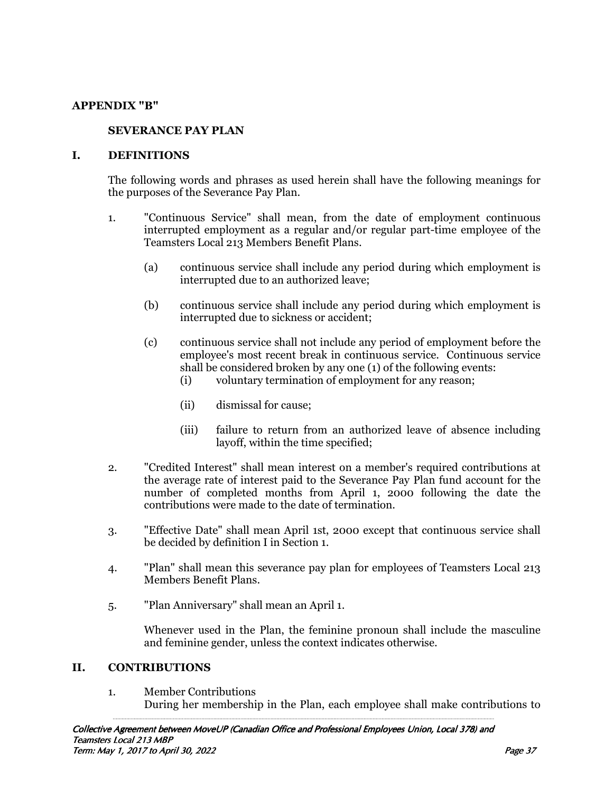#### **APPENDIX "B"**

#### **SEVERANCE PAY PLAN**

#### **I. DEFINITIONS**

The following words and phrases as used herein shall have the following meanings for the purposes of the Severance Pay Plan.

- 1. "Continuous Service" shall mean, from the date of employment continuous interrupted employment as a regular and/or regular part-time employee of the Teamsters Local 213 Members Benefit Plans.
	- (a) continuous service shall include any period during which employment is interrupted due to an authorized leave;
	- (b) continuous service shall include any period during which employment is interrupted due to sickness or accident;
	- (c) continuous service shall not include any period of employment before the employee's most recent break in continuous service. Continuous service shall be considered broken by any one (1) of the following events:
		- (i) voluntary termination of employment for any reason;
		- (ii) dismissal for cause;
		- (iii) failure to return from an authorized leave of absence including layoff, within the time specified;
- 2. "Credited Interest" shall mean interest on a member's required contributions at the average rate of interest paid to the Severance Pay Plan fund account for the number of completed months from April 1, 2000 following the date the contributions were made to the date of termination.
- 3. "Effective Date" shall mean April 1st, 2000 except that continuous service shall be decided by definition I in Section 1.
- 4. "Plan" shall mean this severance pay plan for employees of Teamsters Local 213 Members Benefit Plans.
- 5. "Plan Anniversary" shall mean an April 1.

Whenever used in the Plan, the feminine pronoun shall include the masculine and feminine gender, unless the context indicates otherwise.

#### **II. CONTRIBUTIONS**

1. Member Contributions During her membership in the Plan, each employee shall make contributions to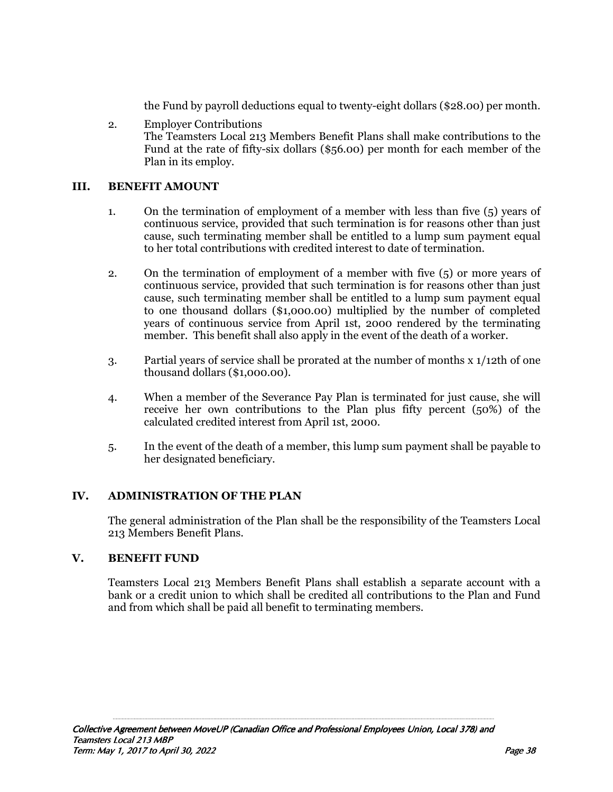the Fund by payroll deductions equal to twenty-eight dollars (\$28.00) per month.

 2. Employer Contributions The Teamsters Local 213 Members Benefit Plans shall make contributions to the Fund at the rate of fifty-six dollars (\$56.00) per month for each member of the Plan in its employ.

# **III. BENEFIT AMOUNT**

- 1. On the termination of employment of a member with less than five (5) years of continuous service, provided that such termination is for reasons other than just cause, such terminating member shall be entitled to a lump sum payment equal to her total contributions with credited interest to date of termination.
- 2. On the termination of employment of a member with five (5) or more years of continuous service, provided that such termination is for reasons other than just cause, such terminating member shall be entitled to a lump sum payment equal to one thousand dollars (\$1,000.00) multiplied by the number of completed years of continuous service from April 1st, 2000 rendered by the terminating member. This benefit shall also apply in the event of the death of a worker.
- 3. Partial years of service shall be prorated at the number of months x 1/12th of one thousand dollars (\$1,000.00).
- 4. When a member of the Severance Pay Plan is terminated for just cause, she will receive her own contributions to the Plan plus fifty percent (50%) of the calculated credited interest from April 1st, 2000.
- 5. In the event of the death of a member, this lump sum payment shall be payable to her designated beneficiary.

# **IV. ADMINISTRATION OF THE PLAN**

The general administration of the Plan shall be the responsibility of the Teamsters Local 213 Members Benefit Plans.

# **V. BENEFIT FUND**

Teamsters Local 213 Members Benefit Plans shall establish a separate account with a bank or a credit union to which shall be credited all contributions to the Plan and Fund and from which shall be paid all benefit to terminating members.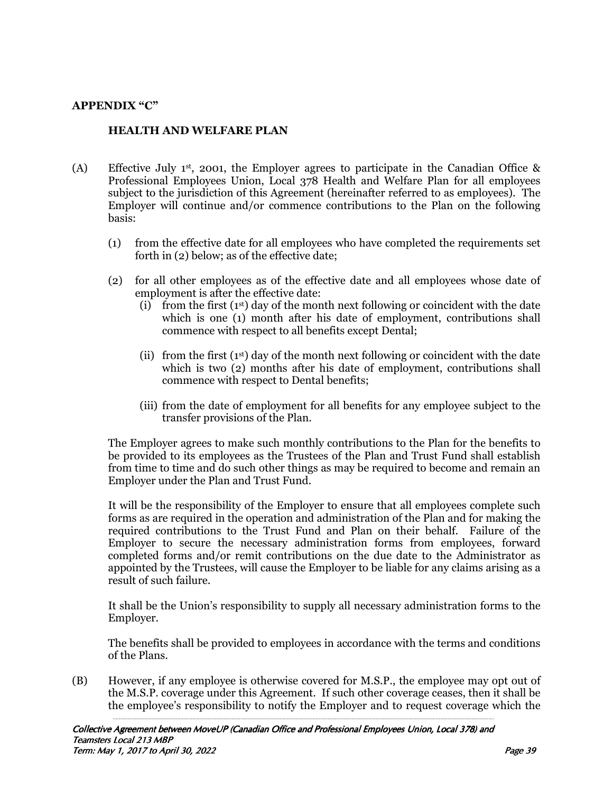# **APPENDIX "C"**

# **HEALTH AND WELFARE PLAN**

- (A) Effective July 1st, 2001, the Employer agrees to participate in the Canadian Office & Professional Employees Union, Local 378 Health and Welfare Plan for all employees subject to the jurisdiction of this Agreement (hereinafter referred to as employees). The Employer will continue and/or commence contributions to the Plan on the following basis:
	- (1) from the effective date for all employees who have completed the requirements set forth in (2) below; as of the effective date;
	- (2) for all other employees as of the effective date and all employees whose date of employment is after the effective date:
		- (i) from the first  $(1<sup>st</sup>)$  day of the month next following or coincident with the date which is one (1) month after his date of employment, contributions shall commence with respect to all benefits except Dental;
		- (ii) from the first  $(1<sup>st</sup>)$  day of the month next following or coincident with the date which is two (2) months after his date of employment, contributions shall commence with respect to Dental benefits;
		- (iii) from the date of employment for all benefits for any employee subject to the transfer provisions of the Plan.

 The Employer agrees to make such monthly contributions to the Plan for the benefits to be provided to its employees as the Trustees of the Plan and Trust Fund shall establish from time to time and do such other things as may be required to become and remain an Employer under the Plan and Trust Fund.

 It will be the responsibility of the Employer to ensure that all employees complete such forms as are required in the operation and administration of the Plan and for making the required contributions to the Trust Fund and Plan on their behalf. Failure of the Employer to secure the necessary administration forms from employees, forward completed forms and/or remit contributions on the due date to the Administrator as appointed by the Trustees, will cause the Employer to be liable for any claims arising as a result of such failure.

 It shall be the Union's responsibility to supply all necessary administration forms to the Employer.

 The benefits shall be provided to employees in accordance with the terms and conditions of the Plans.

(B) However, if any employee is otherwise covered for M.S.P., the employee may opt out of the M.S.P. coverage under this Agreement. If such other coverage ceases, then it shall be the employee's responsibility to notify the Employer and to request coverage which the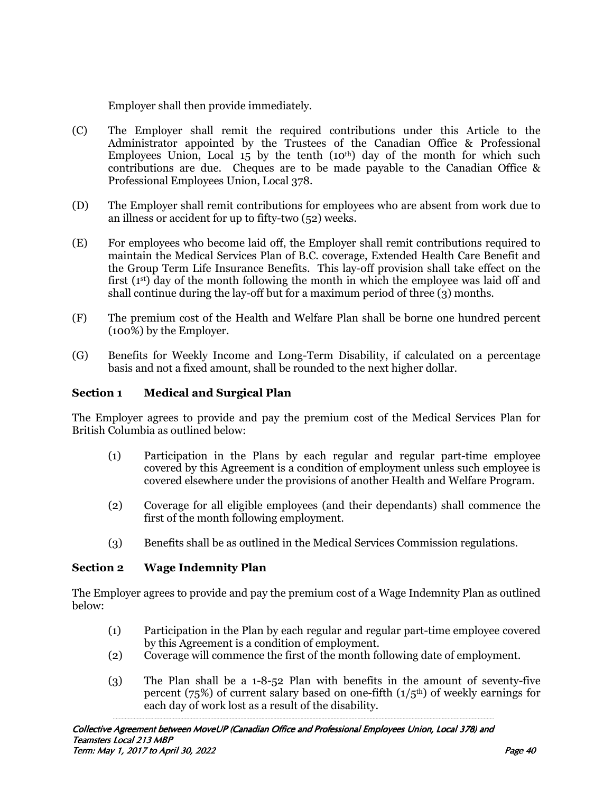Employer shall then provide immediately.

- (C) The Employer shall remit the required contributions under this Article to the Administrator appointed by the Trustees of the Canadian Office & Professional Employees Union, Local  $15$  by the tenth  $(10<sup>th</sup>)$  day of the month for which such contributions are due. Cheques are to be made payable to the Canadian Office & Professional Employees Union, Local 378.
- (D) The Employer shall remit contributions for employees who are absent from work due to an illness or accident for up to fifty-two (52) weeks.
- (E) For employees who become laid off, the Employer shall remit contributions required to maintain the Medical Services Plan of B.C. coverage, Extended Health Care Benefit and the Group Term Life Insurance Benefits. This lay-off provision shall take effect on the first  $(1<sup>st</sup>)$  day of the month following the month in which the employee was laid off and shall continue during the lay-off but for a maximum period of three (3) months.
- (F) The premium cost of the Health and Welfare Plan shall be borne one hundred percent (100%) by the Employer.
- (G) Benefits for Weekly Income and Long-Term Disability, if calculated on a percentage basis and not a fixed amount, shall be rounded to the next higher dollar.

# **Section 1 Medical and Surgical Plan**

The Employer agrees to provide and pay the premium cost of the Medical Services Plan for British Columbia as outlined below:

- (1) Participation in the Plans by each regular and regular part-time employee covered by this Agreement is a condition of employment unless such employee is covered elsewhere under the provisions of another Health and Welfare Program.
- (2) Coverage for all eligible employees (and their dependants) shall commence the first of the month following employment.
- (3) Benefits shall be as outlined in the Medical Services Commission regulations.

# **Section 2 Wage Indemnity Plan**

The Employer agrees to provide and pay the premium cost of a Wage Indemnity Plan as outlined below:

- (1) Participation in the Plan by each regular and regular part-time employee covered by this Agreement is a condition of employment.
- (2) Coverage will commence the first of the month following date of employment.
- (3) The Plan shall be a 1-8-52 Plan with benefits in the amount of seventy-five percent (75%) of current salary based on one-fifth  $(1/5<sup>th</sup>)$  of weekly earnings for each day of work lost as a result of the disability.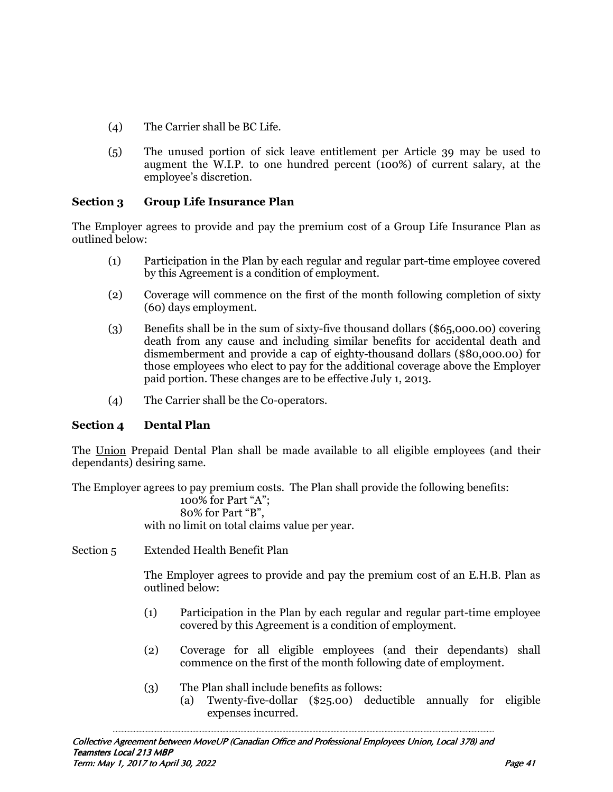- (4) The Carrier shall be BC Life.
- (5) The unused portion of sick leave entitlement per Article 39 may be used to augment the W.I.P. to one hundred percent (100%) of current salary, at the employee's discretion.

# **Section 3 Group Life Insurance Plan**

The Employer agrees to provide and pay the premium cost of a Group Life Insurance Plan as outlined below:

- (1) Participation in the Plan by each regular and regular part-time employee covered by this Agreement is a condition of employment.
- (2) Coverage will commence on the first of the month following completion of sixty (60) days employment.
- (3) Benefits shall be in the sum of sixty-five thousand dollars (\$65,000.00) covering death from any cause and including similar benefits for accidental death and dismemberment and provide a cap of eighty-thousand dollars (\$80,000.00) for those employees who elect to pay for the additional coverage above the Employer paid portion. These changes are to be effective July 1, 2013.
- (4) The Carrier shall be the Co-operators.

# **Section 4 Dental Plan**

The Union Prepaid Dental Plan shall be made available to all eligible employees (and their dependants) desiring same.

The Employer agrees to pay premium costs. The Plan shall provide the following benefits:

 100% for Part "A"; 80% for Part "B", with no limit on total claims value per year.

Section 5 Extended Health Benefit Plan

 The Employer agrees to provide and pay the premium cost of an E.H.B. Plan as outlined below:

- (1) Participation in the Plan by each regular and regular part-time employee covered by this Agreement is a condition of employment.
- (2) Coverage for all eligible employees (and their dependants) shall commence on the first of the month following date of employment.
- (3) The Plan shall include benefits as follows:
	- (a) Twenty-five-dollar (\$25.00) deductible annually for eligible expenses incurred.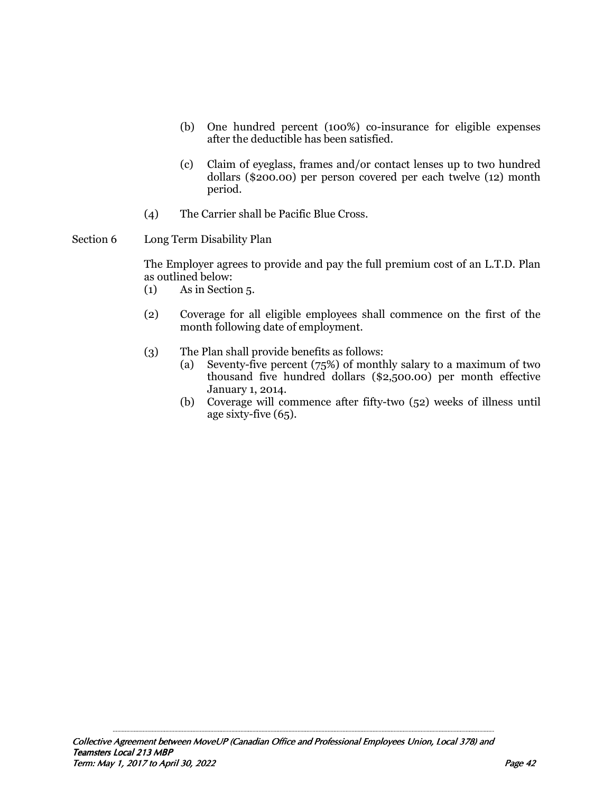- (b) One hundred percent (100%) co-insurance for eligible expenses after the deductible has been satisfied.
- (c) Claim of eyeglass, frames and/or contact lenses up to two hundred dollars (\$200.00) per person covered per each twelve (12) month period.
- (4) The Carrier shall be Pacific Blue Cross.
- Section 6 Long Term Disability Plan

 The Employer agrees to provide and pay the full premium cost of an L.T.D. Plan as outlined below:

- (1) As in Section 5.
- (2) Coverage for all eligible employees shall commence on the first of the month following date of employment.
- (3) The Plan shall provide benefits as follows:
	- (a) Seventy-five percent (75%) of monthly salary to a maximum of two thousand five hundred dollars (\$2,500.00) per month effective January 1, 2014.
	- (b) Coverage will commence after fifty-two (52) weeks of illness until age sixty-five (65).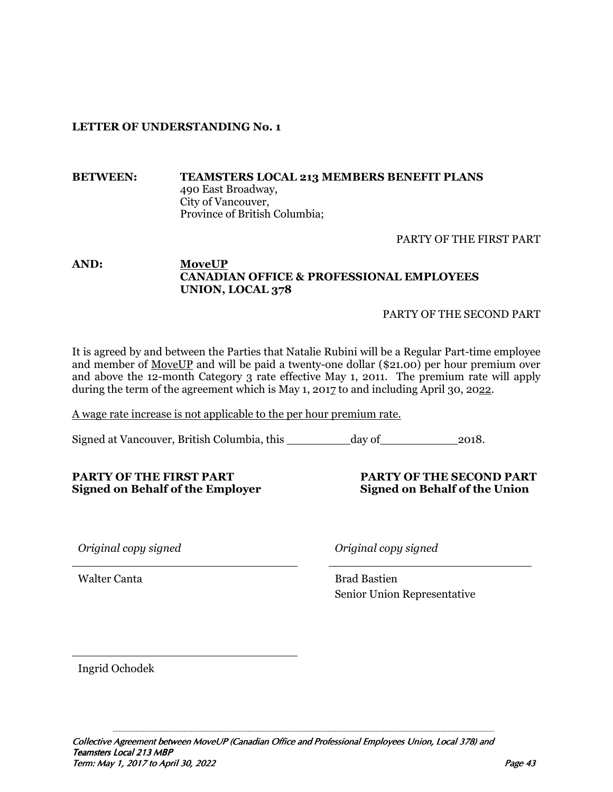# **LETTER OF UNDERSTANDING No. 1**

#### **BETWEEN: TEAMSTERS LOCAL 213 MEMBERS BENEFIT PLANS**  490 East Broadway, City of Vancouver, Province of British Columbia;

PARTY OF THE FIRST PART

# **AND: MoveUP CANADIAN OFFICE & PROFESSIONAL EMPLOYEES UNION, LOCAL 378**

PARTY OF THE SECOND PART

It is agreed by and between the Parties that Natalie Rubini will be a Regular Part-time employee and member of MoveUP and will be paid a twenty-one dollar (\$21.00) per hour premium over and above the 12-month Category 3 rate effective May 1, 2011. The premium rate will apply during the term of the agreement which is May 1, 2017 to and including April 30, 2022.

A wage rate increase is not applicable to the per hour premium rate.

Signed at Vancouver, British Columbia, this \_\_\_\_\_\_\_\_\_day of\_\_\_\_\_\_\_\_\_\_\_2018.

#### **PARTY OF THE FIRST PART PARTY OF THE SECOND PART Signed on Behalf of the Employer** Signed on Behalf of the Union

*Original copy signed Original copy signed* 

Walter Canta Brad Bastien Senior Union Representative

Ingrid Ochodek